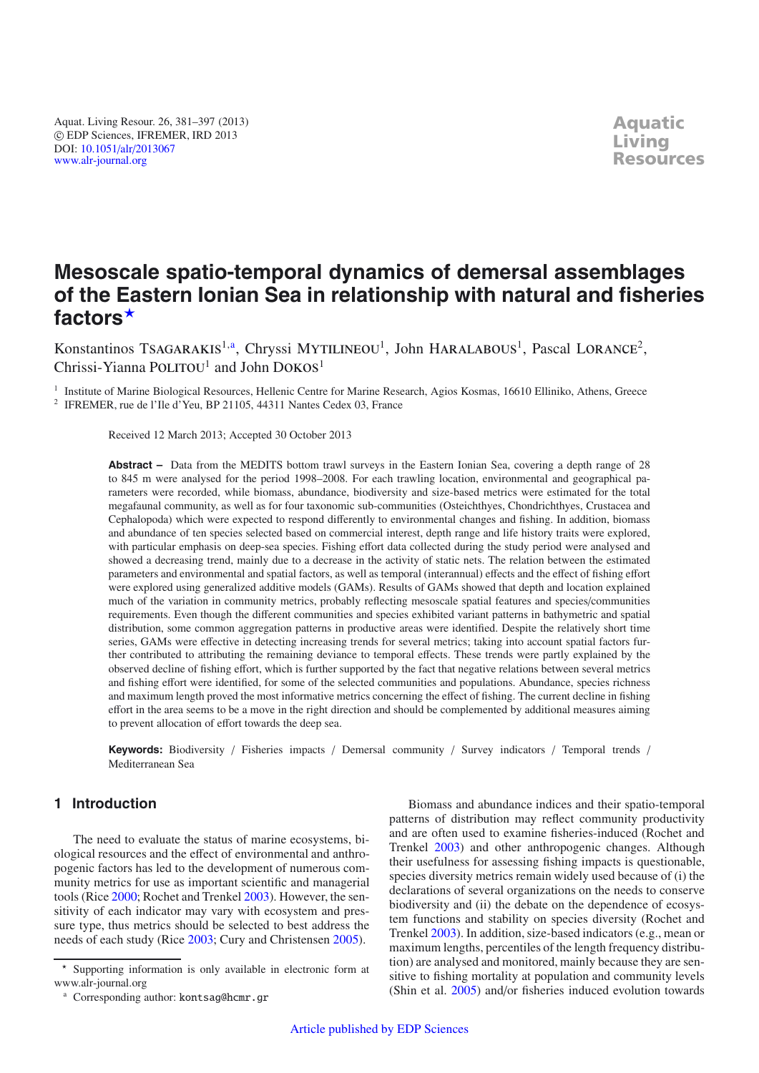**Aquatic Living Resources**

# **Mesoscale spatio-temporal dynamics of demersal assemblages of the Eastern Ionian Sea in relationship with natural and fisheries factors**-

Konstantinos TSAGARAKIS<sup>1,a</sup>, Chryssi MYTILINEOU<sup>1</sup>, John HARALABOUS<sup>1</sup>, Pascal LORANCE<sup>2</sup>, Chrissi-Yianna POLITOU<sup>1</sup> and John DOKOS<sup>1</sup>

<sup>1</sup> Institute of Marine Biological Resources, Hellenic Centre for Marine Research, Agios Kosmas, 16610 Elliniko, Athens, Greece <sup>2</sup> IFREMER, rue de l'Ile d'Yeu, BP 21105, 44311 Nantes Cedex 03, France

Received 12 March 2013; Accepted 30 October 2013

Abstract – Data from the MEDITS bottom trawl surveys in the Eastern Ionian Sea, covering a depth range of 28 to 845 m were analysed for the period 1998–2008. For each trawling location, environmental and geographical parameters were recorded, while biomass, abundance, biodiversity and size-based metrics were estimated for the total megafaunal community, as well as for four taxonomic sub-communities (Osteichthyes, Chondrichthyes, Crustacea and Cephalopoda) which were expected to respond differently to environmental changes and fishing. In addition, biomass and abundance of ten species selected based on commercial interest, depth range and life history traits were explored, with particular emphasis on deep-sea species. Fishing effort data collected during the study period were analysed and showed a decreasing trend, mainly due to a decrease in the activity of static nets. The relation between the estimated parameters and environmental and spatial factors, as well as temporal (interannual) effects and the effect of fishing effort were explored using generalized additive models (GAMs). Results of GAMs showed that depth and location explained much of the variation in community metrics, probably reflecting mesoscale spatial features and species/communities requirements. Even though the different communities and species exhibited variant patterns in bathymetric and spatial distribution, some common aggregation patterns in productive areas were identified. Despite the relatively short time series, GAMs were effective in detecting increasing trends for several metrics; taking into account spatial factors further contributed to attributing the remaining deviance to temporal effects. These trends were partly explained by the observed decline of fishing effort, which is further supported by the fact that negative relations between several metrics and fishing effort were identified, for some of the selected communities and populations. Abundance, species richness and maximum length proved the most informative metrics concerning the effect of fishing. The current decline in fishing effort in the area seems to be a move in the right direction and should be complemented by additional measures aiming to prevent allocation of effort towards the deep sea.

**Keywords:** Biodiversity / Fisheries impacts / Demersal community / Survey indicators / Temporal trends / Mediterranean Sea

## **1 Introduction**

The need to evaluate the status of marine ecosystems, biological resources and the effect of environmental and anthropogenic factors has led to the development of numerous community metrics for use as important scientific and managerial tools (Rice [2000;](#page-13-0) Rochet and Trenkel [2003\)](#page-13-1). However, the sensitivity of each indicator may vary with ecosystem and pressure type, thus metrics should be selected to best address the needs of each study (Rice [2003;](#page-13-2) Cury and Christensen [2005\)](#page-12-0).

Biomass and abundance indices and their spatio-temporal patterns of distribution may reflect community productivity and are often used to examine fisheries-induced (Rochet and Trenkel [2003\)](#page-13-1) and other anthropogenic changes. Although their usefulness for assessing fishing impacts is questionable, species diversity metrics remain widely used because of (i) the declarations of several organizations on the needs to conserve biodiversity and (ii) the debate on the dependence of ecosystem functions and stability on species diversity (Rochet and Trenkel [2003\)](#page-13-1). In addition, size-based indicators (e.g., mean or maximum lengths, percentiles of the length frequency distribution) are analysed and monitored, mainly because they are sensitive to fishing mortality at population and community levels (Shin et al. [2005\)](#page-13-3) and/or fisheries induced evolution towards

<sup>-</sup> Supporting information is only available in electronic form at [www.alr-journal.org](http://dx.doi.org/10.1051/alr/2013067)

<sup>a</sup> Corresponding author: kontsag@hcmr.gr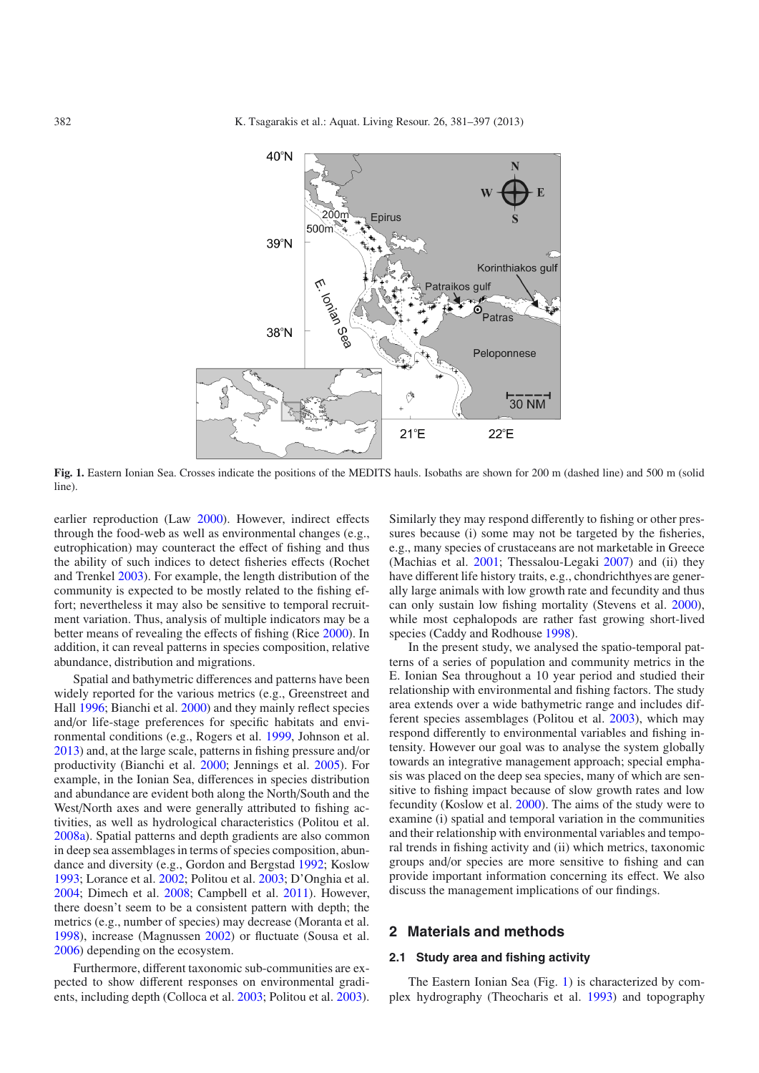

<span id="page-1-0"></span>**Fig. 1.** Eastern Ionian Sea. Crosses indicate the positions of the MEDITS hauls. Isobaths are shown for 200 m (dashed line) and 500 m (solid line).

earlier reproduction (Law [2000\)](#page-13-4). However, indirect effects through the food-web as well as environmental changes (e.g., eutrophication) may counteract the effect of fishing and thus the ability of such indices to detect fisheries effects (Rochet and Trenkel [2003\)](#page-13-1). For example, the length distribution of the community is expected to be mostly related to the fishing effort; nevertheless it may also be sensitive to temporal recruitment variation. Thus, analysis of multiple indicators may be a better means of revealing the effects of fishing (Rice [2000](#page-13-0)). In addition, it can reveal patterns in species composition, relative abundance, distribution and migrations.

Spatial and bathymetric differences and patterns have been widely reported for the various metrics (e.g., Greenstreet and Hall [1996;](#page-13-5) Bianchi et al. [2000](#page-12-1)) and they mainly reflect species and/or life-stage preferences for specific habitats and environmental conditions (e.g., Rogers et al. [1999,](#page-13-6) Johnson et al. [2013\)](#page-13-7) and, at the large scale, patterns in fishing pressure and/or productivity (Bianchi et al. [2000](#page-12-1); Jennings et al. [2005\)](#page-13-8). For example, in the Ionian Sea, differences in species distribution and abundance are evident both along the North/South and the West/North axes and were generally attributed to fishing activities, as well as hydrological characteristics (Politou et al. [2008a\)](#page-13-9). Spatial patterns and depth gradients are also common in deep sea assemblages in terms of species composition, abundance and diversity (e.g., Gordon and Bergstad [1992;](#page-13-10) Koslow [1993;](#page-13-11) Lorance et al. [2002;](#page-13-12) Politou et al. [2003;](#page-13-13) D'Onghia et al. [2004;](#page-12-2) Dimech et al. [2008;](#page-12-3) Campbell et al. [2011\)](#page-12-4). However, there doesn't seem to be a consistent pattern with depth; the metrics (e.g., number of species) may decrease (Moranta et al. [1998\)](#page-13-14), increase (Magnussen [2002\)](#page-13-15) or fluctuate (Sousa et al. [2006\)](#page-13-16) depending on the ecosystem.

Furthermore, different taxonomic sub-communities are expected to show different responses on environmental gradients, including depth (Colloca et al. [2003](#page-12-5); Politou et al. [2003](#page-13-13)). Similarly they may respond differently to fishing or other pressures because (i) some may not be targeted by the fisheries, e.g., many species of crustaceans are not marketable in Greece (Machias et al. [2001;](#page-13-17) Thessalou-Legaki [2007\)](#page-14-0) and (ii) they have different life history traits, e.g., chondrichthyes are generally large animals with low growth rate and fecundity and thus can only sustain low fishing mortality (Stevens et al. [2000\)](#page-14-1), while most cephalopods are rather fast growing short-lived species (Caddy and Rodhouse [1998\)](#page-12-6).

In the present study, we analysed the spatio-temporal patterns of a series of population and community metrics in the E. Ionian Sea throughout a 10 year period and studied their relationship with environmental and fishing factors. The study area extends over a wide bathymetric range and includes different species assemblages (Politou et al. [2003](#page-13-13)), which may respond differently to environmental variables and fishing intensity. However our goal was to analyse the system globally towards an integrative management approach; special emphasis was placed on the deep sea species, many of which are sensitive to fishing impact because of slow growth rates and low fecundity (Koslow et al. [2000\)](#page-13-18). The aims of the study were to examine (i) spatial and temporal variation in the communities and their relationship with environmental variables and temporal trends in fishing activity and (ii) which metrics, taxonomic groups and/or species are more sensitive to fishing and can provide important information concerning its effect. We also discuss the management implications of our findings.

#### **2 Materials and methods**

#### **2.1 Study area and fishing activity**

The Eastern Ionian Sea (Fig. [1\)](#page-1-0) is characterized by complex hydrography (Theocharis et al. [1993\)](#page-14-2) and topography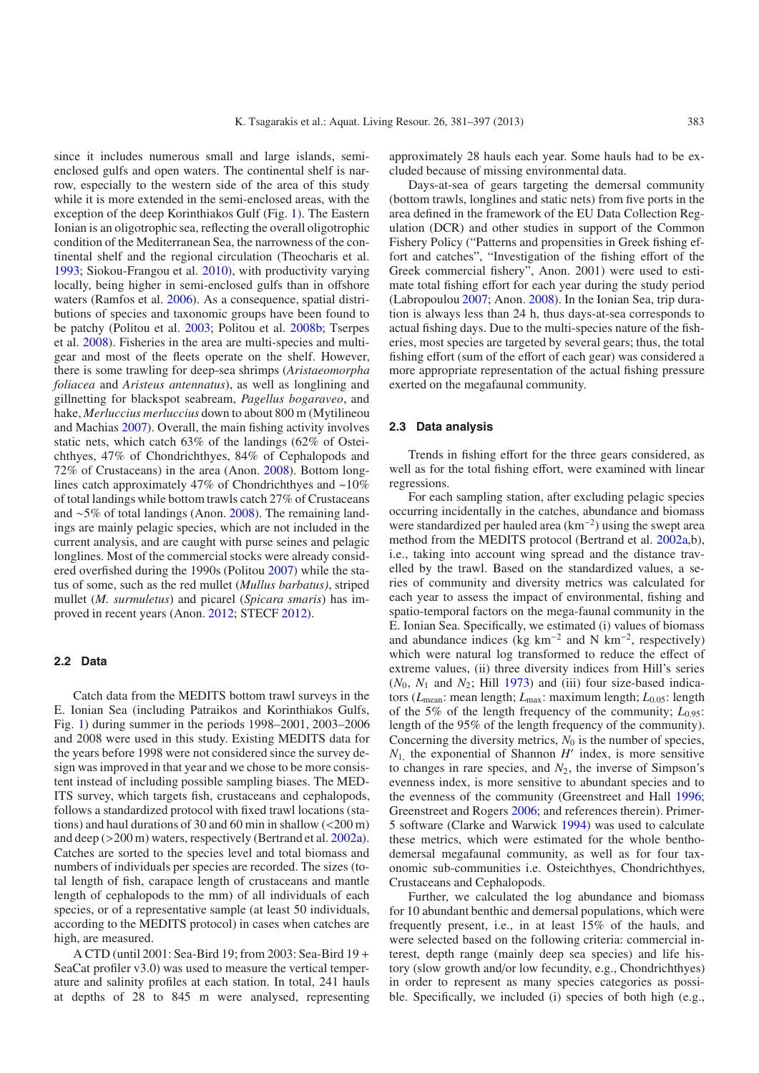since it includes numerous small and large islands, semienclosed gulfs and open waters. The continental shelf is narrow, especially to the western side of the area of this study while it is more extended in the semi-enclosed areas, with the exception of the deep Korinthiakos Gulf (Fig. [1\)](#page-1-0). The Eastern Ionian is an oligotrophic sea, reflecting the overall oligotrophic condition of the Mediterranean Sea, the narrowness of the continental shelf and the regional circulation (Theocharis et al. [1993;](#page-14-2) Siokou-Frangou et al. [2010\)](#page-13-19), with productivity varying locally, being higher in semi-enclosed gulfs than in offshore waters (Ramfos et al. [2006\)](#page-13-20). As a consequence, spatial distributions of species and taxonomic groups have been found to be patchy (Politou et al. [2003](#page-13-13); Politou et al. [2008b;](#page-13-21) Tserpes et al. [2008\)](#page-14-3). Fisheries in the area are multi-species and multigear and most of the fleets operate on the shelf. However, there is some trawling for deep-sea shrimps (*Aristaeomorpha foliacea* and *Aristeus antennatus*), as well as longlining and gillnetting for blackspot seabream, *Pagellus bogaraveo*, and hake, *Merluccius merluccius* down to about 800 m (Mytilineou and Machias [2007\)](#page-13-22). Overall, the main fishing activity involves static nets, which catch 63% of the landings (62% of Osteichthyes, 47% of Chondrichthyes, 84% of Cephalopods and 72% of Crustaceans) in the area (Anon. [2008\)](#page-12-7). Bottom longlines catch approximately 47% of Chondrichthyes and ~10% of total landings while bottom trawls catch 27% of Crustaceans and ∼5% of total landings (Anon. [2008\)](#page-12-7). The remaining landings are mainly pelagic species, which are not included in the current analysis, and are caught with purse seines and pelagic longlines. Most of the commercial stocks were already considered overfished during the 1990s (Politou [2007](#page-13-23)) while the status of some, such as the red mullet (*Mullus barbatus)*, striped mullet (*M. surmuletus*) and picarel (*Spicara smaris*) has improved in recent years (Anon. [2012;](#page-12-8) STECF [2012\)](#page-14-4).

### **2.2 Data**

Catch data from the MEDITS bottom trawl surveys in the E. Ionian Sea (including Patraikos and Korinthiakos Gulfs, Fig. [1\)](#page-1-0) during summer in the periods 1998–2001, 2003–2006 and 2008 were used in this study. Existing MEDITS data for the years before 1998 were not considered since the survey design was improved in that year and we chose to be more consistent instead of including possible sampling biases. The MED-ITS survey, which targets fish, crustaceans and cephalopods, follows a standardized protocol with fixed trawl locations (stations) and haul durations of 30 and 60 min in shallow  $\left($  <200 m) and deep (>200 m) waters, respectively (Bertrand et al. [2002a](#page-12-9)). Catches are sorted to the species level and total biomass and numbers of individuals per species are recorded. The sizes (total length of fish, carapace length of crustaceans and mantle length of cephalopods to the mm) of all individuals of each species, or of a representative sample (at least 50 individuals, according to the MEDITS protocol) in cases when catches are high, are measured.

A CTD (until 2001: Sea-Bird 19; from 2003: Sea-Bird 19 + SeaCat profiler v3.0) was used to measure the vertical temperature and salinity profiles at each station. In total, 241 hauls at depths of 28 to 845 m were analysed, representing approximately 28 hauls each year. Some hauls had to be excluded because of missing environmental data.

Days-at-sea of gears targeting the demersal community (bottom trawls, longlines and static nets) from five ports in the area defined in the framework of the EU Data Collection Regulation (DCR) and other studies in support of the Common Fishery Policy ("Patterns and propensities in Greek fishing effort and catches", "Investigation of the fishing effort of the Greek commercial fishery", Anon. 2001) were used to estimate total fishing effort for each year during the study period (Labropoulou [2007;](#page-13-24) Anon. [2008\)](#page-12-7). In the Ionian Sea, trip duration is always less than 24 h, thus days-at-sea corresponds to actual fishing days. Due to the multi-species nature of the fisheries, most species are targeted by several gears; thus, the total fishing effort (sum of the effort of each gear) was considered a more appropriate representation of the actual fishing pressure exerted on the megafaunal community.

#### **2.3 Data analysis**

Trends in fishing effort for the three gears considered, as well as for the total fishing effort, were examined with linear regressions.

For each sampling station, after excluding pelagic species occurring incidentally in the catches, abundance and biomass were standardized per hauled area  $(km^{-2})$  using the swept area method from the MEDITS protocol (Bertrand et al. [2002a,](#page-12-9)b), i.e., taking into account wing spread and the distance travelled by the trawl. Based on the standardized values, a series of community and diversity metrics was calculated for each year to assess the impact of environmental, fishing and spatio-temporal factors on the mega-faunal community in the E. Ionian Sea. Specifically, we estimated (i) values of biomass and abundance indices (kg km<sup>-2</sup> and N km<sup>-2</sup>, respectively) which were natural log transformed to reduce the effect of extreme values, (ii) three diversity indices from Hill's series  $(N_0, N_1$  and  $N_2$ ; Hill [1973\)](#page-13-25) and (iii) four size-based indicators (*L*<sub>mean</sub>: mean length; *L*<sub>max</sub>: maximum length; *L*<sub>0.05</sub>: length of the 5% of the length frequency of the community;  $L_{0.95}$ : length of the 95% of the length frequency of the community). Concerning the diversity metrics, *N*<sup>0</sup> is the number of species,  $N_1$ , the exponential of Shannon *H'* index, is more sensitive to changes in rare species, and  $N_2$ , the inverse of Simpson's evenness index, is more sensitive to abundant species and to the evenness of the community (Greenstreet and Hall [1996;](#page-13-5) Greenstreet and Rogers [2006](#page-13-26); and references therein). Primer-5 software (Clarke and Warwick [1994](#page-12-10)) was used to calculate these metrics, which were estimated for the whole benthodemersal megafaunal community, as well as for four taxonomic sub-communities i.e. Osteichthyes, Chondrichthyes, Crustaceans and Cephalopods.

Further, we calculated the log abundance and biomass for 10 abundant benthic and demersal populations, which were frequently present, i.e., in at least 15% of the hauls, and were selected based on the following criteria: commercial interest, depth range (mainly deep sea species) and life history (slow growth and/or low fecundity, e.g., Chondrichthyes) in order to represent as many species categories as possible. Specifically, we included (i) species of both high (e.g.,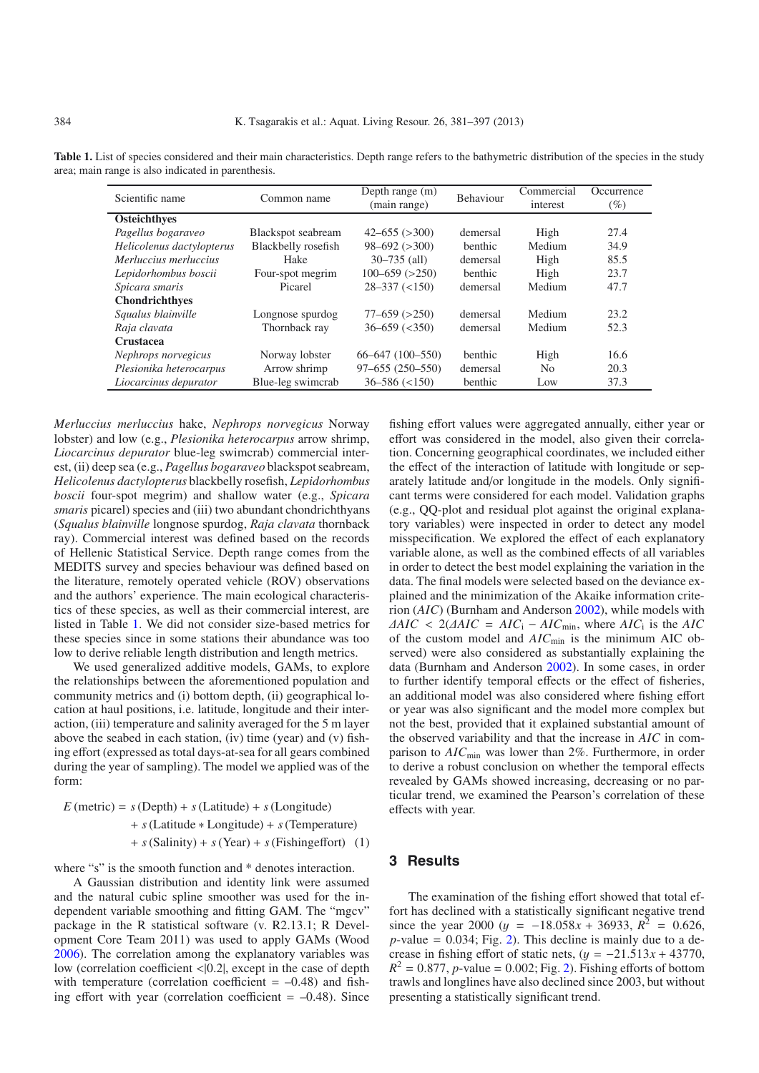|                     | Depth range (m)        |          | Commercial       | Occurrence |
|---------------------|------------------------|----------|------------------|------------|
|                     | (main range)           |          | interest         | $(\%)$     |
|                     |                        |          |                  |            |
| Blackspot seabream  | $42 - 655 (>300)$      | demersal | High             | 27.4       |
| Blackbelly rosefish | $98 - 692 (>300)$      | benthic  | Medium           | 34.9       |
| Hake                | $30 - 735$ (all)       | demersal | High             | 85.5       |
| Four-spot megrim    | $100 - 659$ ( $>250$ ) | benthic  | High             | 23.7       |
| Picarel             | $28 - 337 \approx 150$ | demersal | Medium           | 47.7       |
|                     |                        |          |                  |            |
| Longnose spurdog    | $77-659$ ( $>250$ )    | demersal | Medium           | 23.2       |
| Thornback ray       | $36 - 659 \leq 350$    | demersal | Medium           | 52.3       |
|                     |                        |          |                  |            |
| Norway lobster      | $66 - 647$ (100-550)   | benthic  | High             | 16.6       |
| Arrow shrimp        | $97 - 655(250 - 550)$  | demersal | N <sub>0</sub>   | 20.3       |
| Blue-leg swimcrab   | $36 - 586 \approx 150$ | benthic  | Low              | 37.3       |
|                     | Common name            |          | <b>Behaviour</b> |            |

<span id="page-3-0"></span>Table 1. List of species considered and their main characteristics. Depth range refers to the bathymetric distribution of the species in the study area; main range is also indicated in parenthesis.

*Merluccius merluccius* hake, *Nephrops norvegicus* Norway lobster) and low (e.g., *Plesionika heterocarpus* arrow shrimp, *Liocarcinus depurator* blue-leg swimcrab) commercial interest, (ii) deep sea (e.g., *Pagellus bogaraveo* blackspot seabream, *Helicolenus dactylopterus* blackbelly rosefish, *Lepidorhombus boscii* four-spot megrim) and shallow water (e.g., *Spicara smaris* picarel) species and (iii) two abundant chondrichthyans (*Squalus blainville* longnose spurdog, *Raja clavata* thornback ray). Commercial interest was defined based on the records of Hellenic Statistical Service. Depth range comes from the MEDITS survey and species behaviour was defined based on the literature, remotely operated vehicle (ROV) observations and the authors' experience. The main ecological characteristics of these species, as well as their commercial interest, are listed in Table [1.](#page-3-0) We did not consider size-based metrics for these species since in some stations their abundance was too low to derive reliable length distribution and length metrics.

We used generalized additive models, GAMs, to explore the relationships between the aforementioned population and community metrics and (i) bottom depth, (ii) geographical location at haul positions, i.e. latitude, longitude and their interaction, (iii) temperature and salinity averaged for the 5 m layer above the seabed in each station, (iv) time (year) and (v) fishing effort (expressed as total days-at-sea for all gears combined during the year of sampling). The model we applied was of the form:

$$
E (metric) = s (Depth) + s (Latitude) + s (Longitude)
$$
  
+ s (Latitude \* Longitude) + s (Temperature)  
+ s (Salinity) + s (Year) + s (Fishingeffort) (1)

where "s" is the smooth function and  $*$  denotes interaction.

A Gaussian distribution and identity link were assumed and the natural cubic spline smoother was used for the independent variable smoothing and fitting GAM. The "mgcv" package in the R statistical software (v. R2.13.1; R Development Core Team 2011) was used to apply GAMs (Wood [2006\)](#page-14-5). The correlation among the explanatory variables was low (correlation coefficient <|0.2|, except in the case of depth with temperature (correlation coefficient  $= -0.48$ ) and fishing effort with year (correlation coefficient  $= -0.48$ ). Since fishing effort values were aggregated annually, either year or effort was considered in the model, also given their correlation. Concerning geographical coordinates, we included either the effect of the interaction of latitude with longitude or separately latitude and/or longitude in the models. Only significant terms were considered for each model. Validation graphs (e.g., QQ-plot and residual plot against the original explanatory variables) were inspected in order to detect any model misspecification. We explored the effect of each explanatory variable alone, as well as the combined effects of all variables in order to detect the best model explaining the variation in the data. The final models were selected based on the deviance explained and the minimization of the Akaike information criterion (*AIC*) (Burnham and Anderson [2002\)](#page-12-11), while models with  $\triangle$ *AIC* < 2( $\triangle$ *AIC* =  $\triangle$ *AIC*<sub>i</sub> −  $\triangle$ *AIC*<sub>min</sub>, where  $\triangle$ *AIC*<sub>i</sub> is the *AIC* of the custom model and  $AIC_{min}$  is the minimum AIC observed) were also considered as substantially explaining the data (Burnham and Anderson [2002\)](#page-12-11). In some cases, in order to further identify temporal effects or the effect of fisheries, an additional model was also considered where fishing effort or year was also significant and the model more complex but not the best, provided that it explained substantial amount of the observed variability and that the increase in *AIC* in comparison to *AIC*min was lower than 2%. Furthermore, in order to derive a robust conclusion on whether the temporal effects revealed by GAMs showed increasing, decreasing or no particular trend, we examined the Pearson's correlation of these effects with year.

## **3 Results**

The examination of the fishing effort showed that total effort has declined with a statistically significant negative trend since the year 2000 ( $y = -18.058x + 36933$ ,  $R^2 = 0.626$ ,  $p$ -value = 0.034; Fig. [2\)](#page-4-0). This decline is mainly due to a decrease in fishing effort of static nets,  $(y = -21.513x + 43770$ ,  $R^2 = 0.877$ , *p*-value = 0.002; Fig. [2\)](#page-4-0). Fishing efforts of bottom trawls and longlines have also declined since 2003, but without presenting a statistically significant trend.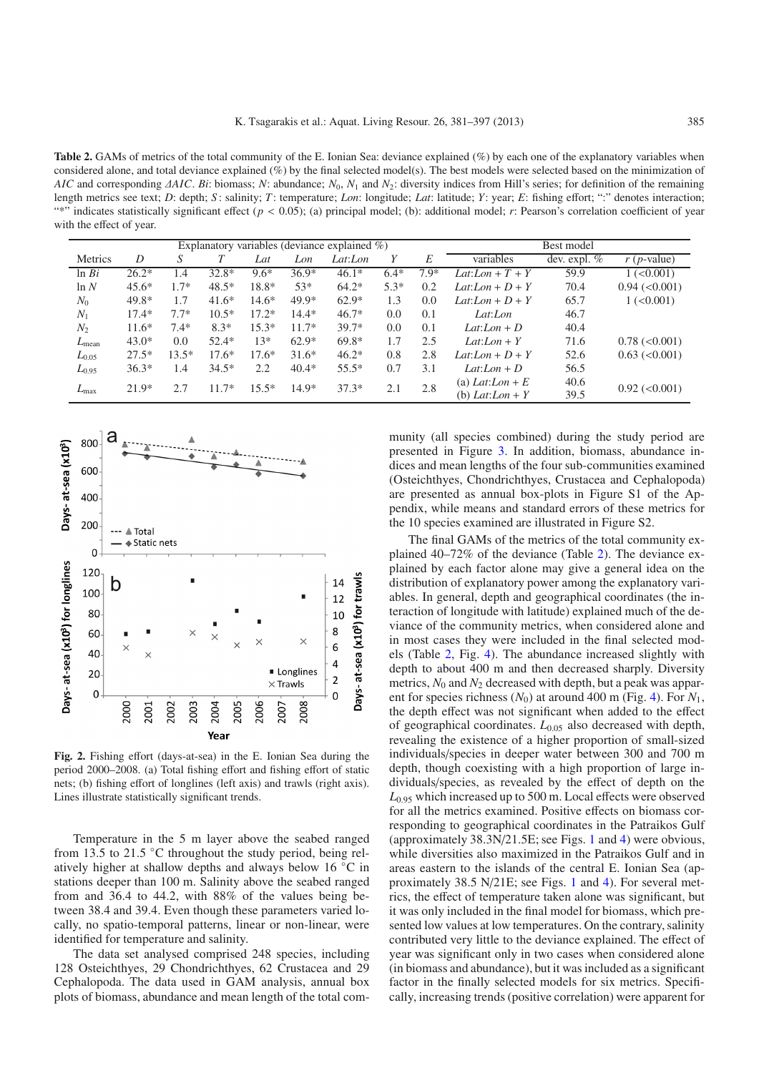<span id="page-4-1"></span>**Table 2.** GAMs of metrics of the total community of the E. Ionian Sea: deviance explained (%) by each one of the explanatory variables when considered alone, and total deviance explained (%) by the final selected model(s). The best models were selected based on the minimization of *AIC* and corresponding <sup>Δ</sup>*AIC*. *Bi*: biomass; *<sup>N</sup>*: abundance; *<sup>N</sup>*0, *<sup>N</sup>*<sup>1</sup> and *<sup>N</sup>*2: diversity indices from Hill's series; for definition of the remaining length metrics see text; *D*: depth; *S* : salinity; *T*: temperature; *Lon*: longitude; *Lat*: latitude; *Y*: year; *E*: fishing effort; ":" denotes interaction; "\*" indicates statistically significant effect ( $p < 0.05$ ); (a) principal model; (b): additional model; *r*: Pearson's correlation coefficient of year with the effect of year.

| Explanatory variables (deviance explained $\%$ ) |         |         |         |         |         |         |        | Best model |                    |                |                     |
|--------------------------------------------------|---------|---------|---------|---------|---------|---------|--------|------------|--------------------|----------------|---------------------|
| Metrics                                          | D       | .S      |         | Lat     | Lon     | Lat:Lon | Y      | E          | variables          | dev. expl. $%$ | $r(p$ -value)       |
| ln Bi                                            | $26.2*$ | 1.4     | $32.8*$ | $9.6*$  | $36.9*$ | $46.1*$ | $6.4*$ | $7.9*$     | $Lat: Lon + T + Y$ | 59.9           | 1 (< 0.001)         |
| ln N                                             | $45.6*$ | $1.7*$  | $48.5*$ | 18.8*   | 53*     | $64.2*$ | $5.3*$ | 0.2        | $Lat: Lon + D + Y$ | 70.4           | $0.94 \, (< 0.001)$ |
| $N_0$                                            | $49.8*$ | 1.7     | $41.6*$ | $14.6*$ | 49.9*   | $62.9*$ | 1.3    | 0.0        | $Lat: Lon + D + Y$ | 65.7           | 1 (< 0.001)         |
| $N_1$                                            | $17.4*$ | $7.7*$  | $10.5*$ | $17.2*$ | $14.4*$ | $46.7*$ | 0.0    | 0.1        | Lat:Lon            | 46.7           |                     |
| $N_2$                                            | $11.6*$ | $7.4*$  | $8.3*$  | $15.3*$ | $11.7*$ | $39.7*$ | 0.0    | 0.1        | $Lat: Lon + D$     | 40.4           |                     |
| $L_{\text{mean}}$                                | $43.0*$ | 0.0     | $52.4*$ | $13*$   | $62.9*$ | $69.8*$ | 1.7    | 2.5        | $Lat: Lon + Y$     | 71.6           | 0.78 (< 0.001)      |
| $L_{0.05}$                                       | $27.5*$ | $13.5*$ | $17.6*$ | $17.6*$ | $31.6*$ | $46.2*$ | 0.8    | 2.8        | $Lat: Lon + D + Y$ | 52.6           | $0.63$ (< $0.001$ ) |
| $L_{0.95}$                                       | $36.3*$ | 1.4     | $34.5*$ | 2.2     | $40.4*$ | $55.5*$ | 0.7    | 3.1        | $Lat: Lon + D$     | 56.5           |                     |
|                                                  | $21.9*$ | 2.7     | $11.7*$ | $15.5*$ | $14.9*$ | $37.3*$ | 2.1    | 2.8        | (a) $Lat: Lon + E$ | 40.6           | $0.92$ (< $0.001$ ) |
| $L_{\text{max}}$                                 |         |         |         |         |         |         |        |            | (b) $Lat: Lon + Y$ | 39.5           |                     |

<span id="page-4-0"></span>

**Fig. 2.** Fishing effort (days-at-sea) in the E. Ionian Sea during the period 2000–2008. (a) Total fishing effort and fishing effort of static nets; (b) fishing effort of longlines (left axis) and trawls (right axis). Lines illustrate statistically significant trends.

Temperature in the 5 m layer above the seabed ranged from 13.5 to 21.5  $\degree$ C throughout the study period, being relatively higher at shallow depths and always below 16 ◦C in stations deeper than 100 m. Salinity above the seabed ranged from and 36.4 to 44.2, with 88% of the values being between 38.4 and 39.4. Even though these parameters varied locally, no spatio-temporal patterns, linear or non-linear, were identified for temperature and salinity.

The data set analysed comprised 248 species, including 128 Osteichthyes, 29 Chondrichthyes, 62 Crustacea and 29 Cephalopoda. The data used in GAM analysis, annual box plots of biomass, abundance and mean length of the total community (all species combined) during the study period are presented in Figure [3.](#page-5-0) In addition, biomass, abundance indices and mean lengths of the four sub-communities examined (Osteichthyes, Chondrichthyes, Crustacea and Cephalopoda) are presented as annual box-plots in Figure S1 of the Appendix, while means and standard errors of these metrics for the 10 species examined are illustrated in Figure S2.

The final GAMs of the metrics of the total community explained 40–72% of the deviance (Table [2\)](#page-4-1). The deviance explained by each factor alone may give a general idea on the distribution of explanatory power among the explanatory variables. In general, depth and geographical coordinates (the interaction of longitude with latitude) explained much of the deviance of the community metrics, when considered alone and in most cases they were included in the final selected models (Table [2,](#page-4-1) Fig. [4\)](#page-6-0). The abundance increased slightly with depth to about 400 m and then decreased sharply. Diversity metrics,  $N_0$  and  $N_2$  decreased with depth, but a peak was apparent for species richness (*N*0) at around 400 m (Fig. [4\)](#page-6-0). For *N*1, the depth effect was not significant when added to the effect of geographical coordinates. *<sup>L</sup>*0.<sup>05</sup> also decreased with depth, revealing the existence of a higher proportion of small-sized individuals/species in deeper water between 300 and 700 m depth, though coexisting with a high proportion of large individuals/species, as revealed by the effect of depth on the *<sup>L</sup>*<sup>0</sup>.<sup>95</sup> which increased up to 500 m. Local effects were observed for all the metrics examined. Positive effects on biomass corresponding to geographical coordinates in the Patraikos Gulf (approximately 38.3N/21.5E; see Figs. [1](#page-1-0) and [4\)](#page-6-0) were obvious, while diversities also maximized in the Patraikos Gulf and in areas eastern to the islands of the central E. Ionian Sea (approximately 38.5 N/21E; see Figs. [1](#page-1-0) and [4\)](#page-6-0). For several metrics, the effect of temperature taken alone was significant, but it was only included in the final model for biomass, which presented low values at low temperatures. On the contrary, salinity contributed very little to the deviance explained. The effect of year was significant only in two cases when considered alone (in biomass and abundance), but it was included as a significant factor in the finally selected models for six metrics. Specifically, increasing trends (positive correlation) were apparent for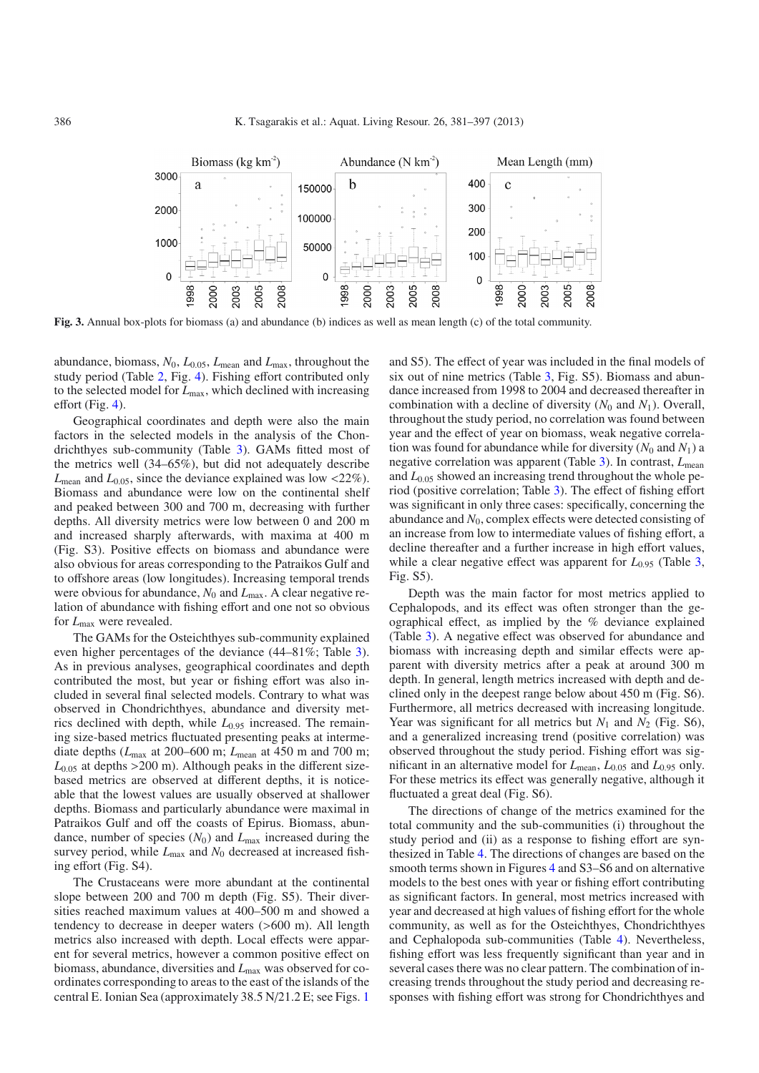<span id="page-5-0"></span>

**Fig. 3.** Annual box-plots for biomass (a) and abundance (b) indices as well as mean length (c) of the total community.

abundance, biomass, *<sup>N</sup>*0, *<sup>L</sup>*0.05, *<sup>L</sup>*mean and *<sup>L</sup>*max, throughout the study period (Table [2,](#page-4-1) Fig. [4\)](#page-6-0). Fishing effort contributed only to the selected model for *L*max, which declined with increasing effort (Fig. [4\)](#page-6-0).

Geographical coordinates and depth were also the main factors in the selected models in the analysis of the Chondrichthyes sub-community (Table [3\)](#page-7-0). GAMs fitted most of the metrics well (34–65%), but did not adequately describe  $L_{\text{mean}}$  and  $L_{0.05}$ , since the deviance explained was low <22%). Biomass and abundance were low on the continental shelf and peaked between 300 and 700 m, decreasing with further depths. All diversity metrics were low between 0 and 200 m and increased sharply afterwards, with maxima at 400 m (Fig. S3). Positive effects on biomass and abundance were also obvious for areas corresponding to the Patraikos Gulf and to offshore areas (low longitudes). Increasing temporal trends were obvious for abundance,  $N_0$  and  $L_{\text{max}}$ . A clear negative relation of abundance with fishing effort and one not so obvious for *L*max were revealed.

The GAMs for the Osteichthyes sub-community explained even higher percentages of the deviance (44–81%; Table [3\)](#page-7-0). As in previous analyses, geographical coordinates and depth contributed the most, but year or fishing effort was also included in several final selected models. Contrary to what was observed in Chondrichthyes, abundance and diversity metrics declined with depth, while  $L_{0.95}$  increased. The remaining size-based metrics fluctuated presenting peaks at intermediate depths (*L*max at 200–600 m; *L*mean at 450 m and 700 m;  $L_{0.05}$  at depths  $>$  200 m). Although peaks in the different sizebased metrics are observed at different depths, it is noticeable that the lowest values are usually observed at shallower depths. Biomass and particularly abundance were maximal in Patraikos Gulf and off the coasts of Epirus. Biomass, abundance, number of species  $(N_0)$  and  $L_{\text{max}}$  increased during the survey period, while *L*max and *N*<sup>0</sup> decreased at increased fishing effort (Fig. S4).

The Crustaceans were more abundant at the continental slope between 200 and 700 m depth (Fig. S5). Their diversities reached maximum values at 400–500 m and showed a tendency to decrease in deeper waters (>600 m). All length metrics also increased with depth. Local effects were apparent for several metrics, however a common positive effect on biomass, abundance, diversities and *L*max was observed for coordinates corresponding to areas to the east of the islands of the central E. Ionian Sea (approximately 38.5 N/21.2 E; see Figs. [1](#page-1-0)

and S5). The effect of year was included in the final models of six out of nine metrics (Table [3,](#page-7-0) Fig. S5). Biomass and abundance increased from 1998 to 2004 and decreased thereafter in combination with a decline of diversity  $(N_0 \text{ and } N_1)$ . Overall, throughout the study period, no correlation was found between year and the effect of year on biomass, weak negative correlation was found for abundance while for diversity  $(N_0 \text{ and } N_1)$  a negative correlation was apparent (Table [3\)](#page-7-0). In contrast, *L*mean and  $L_{0.05}$  showed an increasing trend throughout the whole period (positive correlation; Table [3\)](#page-7-0). The effect of fishing effort was significant in only three cases: specifically, concerning the abundance and *N*0, complex effects were detected consisting of an increase from low to intermediate values of fishing effort, a decline thereafter and a further increase in high effort values, while a clear negative effect was apparent for  $L_{0.95}$  (Table [3,](#page-7-0) Fig. S5).

Depth was the main factor for most metrics applied to Cephalopods, and its effect was often stronger than the geographical effect, as implied by the % deviance explained (Table [3\)](#page-7-0). A negative effect was observed for abundance and biomass with increasing depth and similar effects were apparent with diversity metrics after a peak at around 300 m depth. In general, length metrics increased with depth and declined only in the deepest range below about 450 m (Fig. S6). Furthermore, all metrics decreased with increasing longitude. Year was significant for all metrics but  $N_1$  and  $N_2$  (Fig. S6), and a generalized increasing trend (positive correlation) was observed throughout the study period. Fishing effort was significant in an alternative model for *<sup>L</sup>*mean, *<sup>L</sup>*<sup>0</sup>.<sup>05</sup> and *<sup>L</sup>*<sup>0</sup>.<sup>95</sup> only. For these metrics its effect was generally negative, although it fluctuated a great deal (Fig. S6).

The directions of change of the metrics examined for the total community and the sub-communities (i) throughout the study period and (ii) as a response to fishing effort are synthesized in Table [4.](#page-8-0) The directions of changes are based on the smooth terms shown in Figures [4](#page-6-0) and S3–S6 and on alternative models to the best ones with year or fishing effort contributing as significant factors. In general, most metrics increased with year and decreased at high values of fishing effort for the whole community, as well as for the Osteichthyes, Chondrichthyes and Cephalopoda sub-communities (Table [4\)](#page-8-0). Nevertheless, fishing effort was less frequently significant than year and in several cases there was no clear pattern. The combination of increasing trends throughout the study period and decreasing responses with fishing effort was strong for Chondrichthyes and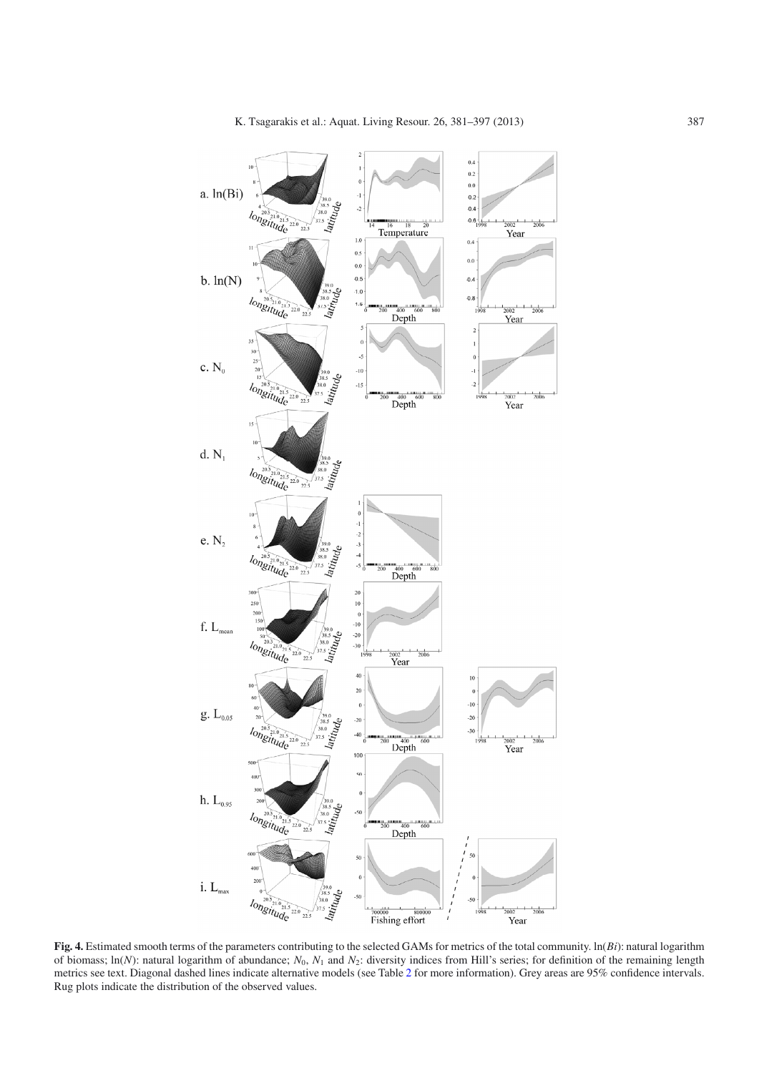

<span id="page-6-0"></span>**Fig. 4.** Estimated smooth terms of the parameters contributing to the selected GAMs for metrics of the total community. ln(*Bi*): natural logarithm of biomass;  $\ln(N)$ : natural logarithm of abundance;  $N_0$ ,  $N_1$  and  $N_2$ : diversity indices from Hill's series; for definition of the remaining length metrics see text. Diagonal dashed lines indicate alternative models (see Table [2](#page-4-1) for more information). Grey areas are 95% confidence intervals. Rug plots indicate the distribution of the observed values.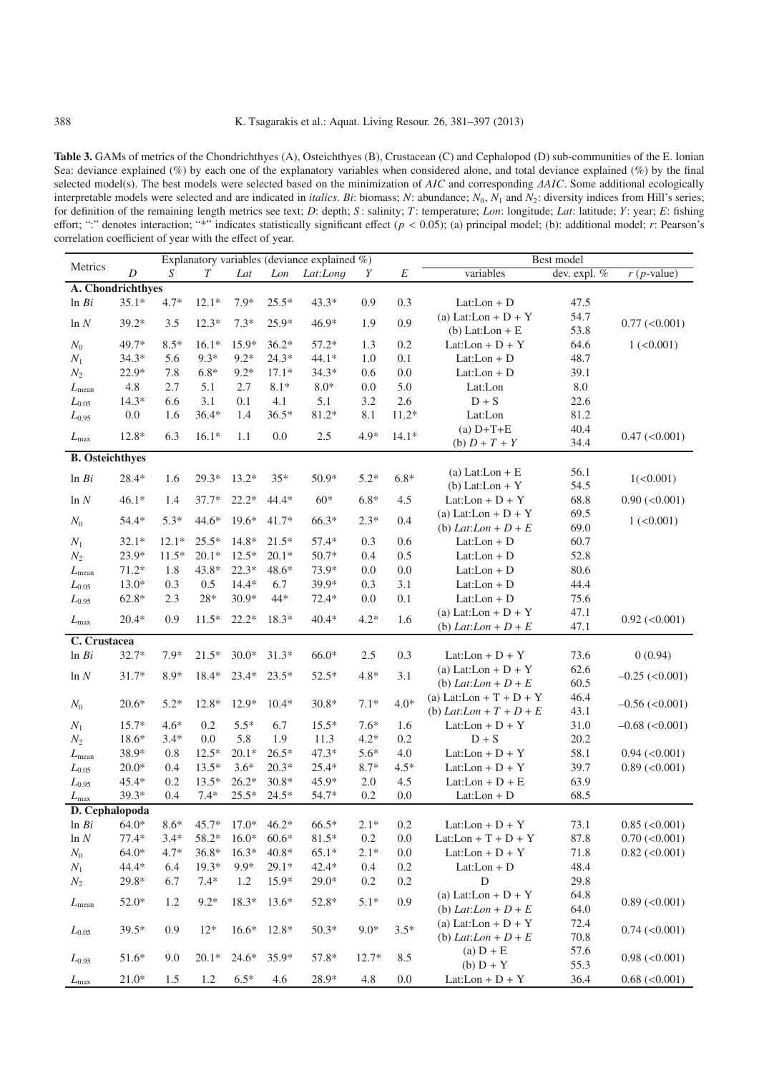<span id="page-7-0"></span>**Table 3.** GAMs of metrics of the Chondrichthyes (A), Osteichthyes (B), Crustacean (C) and Cephalopod (D) sub-communities of the E. Ionian Sea: deviance explained (%) by each one of the explanatory variables when considered alone, and total deviance explained (%) by the final selected model(s). The best models were selected based on the minimization of *AIC* and corresponding Δ*AIC*. Some additional ecologically interpretable models were selected and are indicated in *italics*. *Bi*: biomass; *N*: abundance; *N*<sub>0</sub>, *N*<sub>1</sub> and *N*<sub>2</sub>: diversity indices from Hill's series; for definition of the remaining length metrics see text; *D*: depth; *S* : salinity; *T*: temperature; *Lon*: longitude; *Lat*: latitude; *Y*: year; *E*: fishing effort; ":" denotes interaction; "\*" indicates statistically significant effect ( $p < 0.05$ ); (a) principal model; (b): additional model; *r*: Pearson's correlation coefficient of year with the effect of year.

| Metrics                | Explanatory variables (deviance explained $%$ ) |         |         |         |               |          |         | Best model |                                                             |              |                       |
|------------------------|-------------------------------------------------|---------|---------|---------|---------------|----------|---------|------------|-------------------------------------------------------------|--------------|-----------------------|
|                        | D                                               | S       | T       | Lat     | Lon           | Lat:Long | Y       | $\cal E$   | variables                                                   | dev. expl. % | $r(p$ -value)         |
| A. Chondrichthyes      |                                                 |         |         |         |               |          |         |            |                                                             |              |                       |
| ln Bi                  | $35.1*$                                         | $4.7*$  | $12.1*$ | $7.9*$  | $25.5*$       | $43.3*$  | 0.9     | 0.3        | $Lat:$ Lon + $D$                                            | 47.5         |                       |
| ln N                   | $39.2*$                                         | 3.5     | $12.3*$ | $7.3*$  | $25.9*$       | 46.9*    | 1.9     | 0.9        | (a) Lat:Lon + $D + Y$<br>$(b)$ Lat:Lon + E                  | 54.7<br>53.8 | $0.77$ (<0.001)       |
| $N_0$                  | 49.7*                                           | $8.5*$  | $16.1*$ | $15.9*$ | $36.2*$       | $57.2*$  | 1.3     | 0.2        | $Lat: Lon + D + Y$                                          | 64.6         | $1$ (<0.001)          |
| $N_1$                  | $34.3*$                                         | 5.6     | $9.3*$  | $9.2*$  | $24.3*$       | 44.1*    | 1.0     | 0.1        | $Lat:$ Lon + $D$                                            | 48.7         |                       |
| $N_2$                  | 22.9*                                           | 7.8     | $6.8*$  | $9.2*$  | $17.1*$       | $34.3*$  | 0.6     | 0.0        | $Lat:$ Lon + $D$                                            | 39.1         |                       |
| $L_{\text{mean}}$      | 4.8                                             | 2.7     | 5.1     | 2.7     | $8.1*$        | $8.0*$   | 0.0     | 5.0        | Lat:Lon                                                     | $8.0\,$      |                       |
| $L_{0.05}$             | $14.3*$                                         | 6.6     | 3.1     | 0.1     | 4.1           | 5.1      | 3.2     | 2.6        | $D + S$                                                     | 22.6         |                       |
| $L_{0.95}$             | 0.0                                             | 1.6     | $36.4*$ | 1.4     | $36.5*$       | 81.2*    | 8.1     | $11.2*$    | Lat:Lon                                                     | 81.2         |                       |
| $L_{\rm max}$          | 12.8*                                           | 6.3     | $16.1*$ | 1.1     | 0.0           | 2.5      | $4.9*$  | $14.1*$    | $(a) D+T+E$<br>(b) $D + T + Y$                              | 40.4<br>34.4 | $0.47$ (<0.001)       |
| <b>B.</b> Osteichthyes |                                                 |         |         |         |               |          |         |            |                                                             |              |                       |
| ln Bi                  | 28.4*                                           | 1.6     | $29.3*$ | $13.2*$ | $35*$         | 50.9*    | $5.2*$  | $6.8*$     | (a) Lat:Lon + $E$<br>(b) Lat:Lon + $Y$                      | 56.1<br>54.5 | 1(<0.001)             |
| ln N                   | $46.1*$                                         | 1.4     | $37.7*$ | $22.2*$ | 44.4*         | $60*$    | $6.8*$  | 4.5        | $Lat: Lon + D + Y$                                          | 68.8         | $0.90$ (< $0.001$ )   |
|                        |                                                 |         |         |         |               |          |         |            | (a) Lat:Lon + $D + Y$                                       | 69.5         |                       |
| $N_0$                  | 54.4*                                           | $5.3*$  | $44.6*$ | $19.6*$ | $41.7*$       | 66.3*    | $2.3*$  | 0.4        | (b) $Lat: Lon + D + E$                                      | 69.0         | 1 (< 0.001)           |
| $N_1$                  | $32.1*$                                         | $12.1*$ | $25.5*$ | 14.8*   | $21.5*$       | 57.4*    | 0.3     | 0.6        | $Lat:$ Lon + $D$                                            | 60.7         |                       |
| $N_2$                  | 23.9*                                           | $11.5*$ | $20.1*$ | $12.5*$ | $20.1*$       | $50.7*$  | 0.4     | 0.5        | $Lat:$ Lon + $D$                                            | 52.8         |                       |
| $L_{\text{mean}}$      | $71.2*$                                         | 1.8     | 43.8*   | $22.3*$ | 48.6*         | 73.9*    | 0.0     | 0.0        | $Lat:$ Lon + $D$                                            | 80.6         |                       |
| $L_{0.05}$             | $13.0*$                                         | 0.3     | 0.5     | $14.4*$ | 6.7           | 39.9*    | 0.3     | 3.1        | $Lat:$ Lon + $D$                                            | 44.4         |                       |
| $L_{0.95}$             | $62.8*$                                         | 2.3     | 28*     | $30.9*$ | 44*           | $72.4*$  | 0.0     | 0.1        | $Lat:$ Lon + $D$                                            | 75.6         |                       |
| $L_{\text{max}}$       | $20.4*$                                         | 0.9     | $11.5*$ | $22.2*$ | $18.3*$       | $40.4*$  | $4.2*$  | 1.6        | (a) Lat:Lon + $D + Y$<br>(b) $Lat: Lon + D + E$             | 47.1<br>47.1 | $0.92$ (< $0.001$ )   |
| C. Crustacea           |                                                 |         |         |         |               |          |         |            |                                                             |              |                       |
| ln Bi                  | $32.7*$                                         | $7.9*$  | $21.5*$ | $30.0*$ | $31.3*$       | $66.0*$  | 2.5     | 0.3        | Lat:Lon + $D + Y$                                           | 73.6         | 0(0.94)               |
| ln N                   | $31.7*$                                         | $8.9*$  | 18.4*   | $23.4*$ | $23.5*$       | 52.5*    | $4.8*$  | 3.1        | (a) Lat:Lon + $D + Y$                                       | 62.6         | $-0.25$ (<0.001)      |
|                        |                                                 |         |         |         |               |          |         |            | (b) $Lat: Lon + D + E$                                      | 60.5         |                       |
| $N_0$                  | $20.6*$                                         | $5.2*$  | 12.8*   | $12.9*$ | $10.4*$       | $30.8*$  | $7.1*$  | $4.0*$     | (a) Lat:Lon + $T$ + $D$ + $Y$<br>(b) $Lat: Lon + T + D + E$ | 46.4<br>43.1 | $-0.56$ (<0.001)      |
| $N_1$                  | $15.7*$                                         | $4.6*$  | 0.2     | $5.5*$  | 6.7           | $15.5*$  | $7.6*$  | 1.6        | $Lat: Lon + D + Y$                                          | 31.0         | $-0.68$ ( $< 0.001$ ) |
| $N_2$                  | $18.6*$                                         | $3.4*$  | 0.0     | 5.8     | 1.9           | 11.3     | $4.2*$  | 0.2        | $D + S$                                                     | 20.2         |                       |
| $L_{\text{mean}}$      | 38.9*                                           | 0.8     | $12.5*$ | $20.1*$ | $26.5*$       | $47.3*$  | $5.6*$  | 4.0        | $Lat: Lon + D + Y$                                          | 58.1         | $0.94 \, (<0.001)$    |
| $L_{0.05}$             | $20.0*$                                         | 0.4     | $13.5*$ | $3.6*$  | $20.3*$       | $25.4*$  | $8.7*$  | $4.5*$     | $Lat: Lon + D + Y$                                          | 39.7         | $0.89$ (< $0.001$ )   |
| $L_{0.95}$             | 45.4*                                           | 0.2     | $13.5*$ | $26.2*$ | $30.8*$       | 45.9*    | 2.0     | 4.5        | $Lat:$ Lon + $D$ + $E$                                      | 63.9         |                       |
| $L_{\rm max}$          | $39.3*$                                         | 0.4     | $7.4*$  | $25.5*$ | $24.5*$       | 54.7*    | 0.2     | 0.0        | $Lat:$ Lon + $D$                                            | 68.5         |                       |
| D. Cephalopoda         |                                                 |         |         |         |               |          |         |            |                                                             |              |                       |
| $\ln Bi$ 64.0*         |                                                 | $8.6*$  | 45.7*   | $17.0*$ | $46.2*$       | $66.5*$  | $2.1*$  | 0.2        | $Lat:$ Lon + $D + Y$                                        | 73.1         | $0.85$ (< $0.001$ )   |
| ln N                   | $77.4*$                                         | $3.4*$  | 58.2*   | $16.0*$ | $60.6*$       | $81.5*$  | 0.2     | 0.0        | Lat:Lon + $T$ + $D$ + $Y$                                   | 87.8         | $0.70$ (<0.001)       |
| $N_0$                  | $64.0*$                                         | $4.7*$  | 36.8*   | $16.3*$ | $40.8*$       | $65.1*$  | $2.1*$  | 0.0        | $Lat:$ Lon + $D + Y$                                        | 71.8         | $0.82$ (<0.001)       |
| $N_1$                  | 44.4*                                           | 6.4     | $19.3*$ | $9.9*$  | $29.1*$       | 42.4*    | 0.4     | 0.2        | $Lat:$ Lon + $D$                                            | 48.4         |                       |
| $N_2$                  | 29.8*                                           | 6.7     | $7.4*$  | 1.2     | $15.9*$       | $29.0*$  | 0.2     | 0.2        | D                                                           | 29.8         |                       |
| $L_{\text{mean}}$      | 52.0*                                           | 1.2     | $9.2*$  | $18.3*$ | $13.6*$       | 52.8*    | $5.1*$  | 0.9        | (a) Lat:Lon + $D + Y$<br>(b) $Lat: Lon + D + E$             | 64.8<br>64.0 | $0.89$ (< $0.001$ )   |
| $L_{0.05}$             | $39.5*$                                         | 0.9     | $12*$   |         | $16.6*$ 12.8* | $50.3*$  | $9.0*$  | $3.5*$     | (a) Lat:Lon + $D + Y$<br>(b) $Lat: Lon + D + E$             | 72.4<br>70.8 | $0.74$ (<0.001)       |
| $L_{0.95}$             | $51.6*$                                         | 9.0     | $20.1*$ | $24.6*$ | $35.9*$       | 57.8*    | $12.7*$ | 8.5        | $(a) D + E$<br>$(b) D + Y$                                  | 57.6<br>55.3 | $0.98$ (< $0.001$ )   |
| $L_{\rm max}$          | $21.0*$                                         | 1.5     | 1.2     | $6.5*$  | 4.6           | 28.9*    | 4.8     | 0.0        | $Lat: Lon + D + Y$                                          | 36.4         | $0.68$ (< $0.001$ )   |
|                        |                                                 |         |         |         |               |          |         |            |                                                             |              |                       |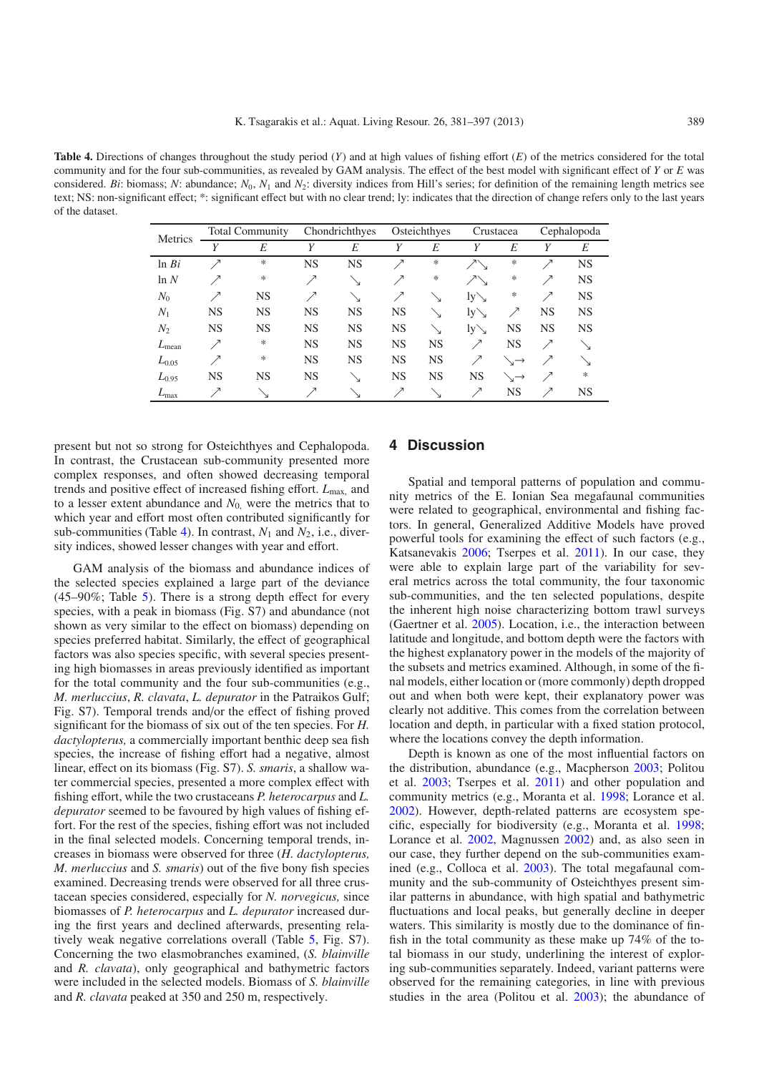<span id="page-8-0"></span>**Table 4.** Directions of changes throughout the study period (*Y*) and at high values of fishing effort (*E*) of the metrics considered for the total community and for the four sub-communities, as revealed by GAM analysis. The effect of the best model with significant effect of *Y* or *E* was considered. *Bi*: biomass; *N*: abundance;  $N_0$ ,  $N_1$  and  $N_2$ : diversity indices from Hill's series; for definition of the remaining length metrics see text; NS: non-significant effect; \*: significant effect but with no clear trend; ly: indicates that the direction of change refers only to the last years of the dataset.

| Metrics           | <b>Total Community</b> |           | Chondrichthyes              |            | Osteichthyes |           | Crustacea          |                        | Cephalopoda |           |
|-------------------|------------------------|-----------|-----------------------------|------------|--------------|-----------|--------------------|------------------------|-------------|-----------|
|                   | Y                      | E         | Y                           | E          | Υ            | E         | Υ                  | E                      | Υ           | E         |
| ln Bi             |                        | $\ast$    | <b>NS</b>                   | <b>NS</b>  |              | ∗         |                    | *                      |             | <b>NS</b> |
| ln N              |                        | $\ast$    | $\overline{\phantom{a}}$    | $\searrow$ |              | $\ast$    |                    | $\ast$                 |             | <b>NS</b> |
| $N_0$             |                        | <b>NS</b> | $\mathcal{L}_{\mathcal{L}}$ | $\searrow$ |              |           | $ly\searrow$       | *                      |             | <b>NS</b> |
| $N_1$             | <b>NS</b>              | <b>NS</b> | <b>NS</b>                   | <b>NS</b>  | <b>NS</b>    |           | $ly\searrow$       |                        | <b>NS</b>   | <b>NS</b> |
| N <sub>2</sub>    | <b>NS</b>              | <b>NS</b> | <b>NS</b>                   | <b>NS</b>  | <b>NS</b>    |           | $\rm ly \setminus$ | <b>NS</b>              | <b>NS</b>   | <b>NS</b> |
| $L_{\text{mean}}$ |                        | $\ast$    | <b>NS</b>                   | <b>NS</b>  | <b>NS</b>    | <b>NS</b> |                    | <b>NS</b>              |             |           |
| $L_{0.05}$        |                        | ∗         | <b>NS</b>                   | <b>NS</b>  | <b>NS</b>    | <b>NS</b> |                    | $\searrow \rightarrow$ |             |           |
| $L_{0.95}$        | <b>NS</b>              | <b>NS</b> | <b>NS</b>                   |            | <b>NS</b>    | <b>NS</b> | <b>NS</b>          | $\searrow \rightarrow$ |             | *         |
| $L_{\rm max}$     |                        |           |                             |            |              |           |                    | <b>NS</b>              |             | <b>NS</b> |

present but not so strong for Osteichthyes and Cephalopoda. In contrast, the Crustacean sub-community presented more complex responses, and often showed decreasing temporal trends and positive effect of increased fishing effort. *<sup>L</sup>*max, and to a lesser extent abundance and *<sup>N</sup>*0, were the metrics that to which year and effort most often contributed significantly for sub-communities (Table [4\)](#page-8-0). In contrast,  $N_1$  and  $N_2$ , i.e., diversity indices, showed lesser changes with year and effort.

GAM analysis of the biomass and abundance indices of the selected species explained a large part of the deviance  $(45-90\%;$  Table [5\)](#page-9-0). There is a strong depth effect for every species, with a peak in biomass (Fig. S7) and abundance (not shown as very similar to the effect on biomass) depending on species preferred habitat. Similarly, the effect of geographical factors was also species specific, with several species presenting high biomasses in areas previously identified as important for the total community and the four sub-communities (e.g., *M. merluccius*, *R. clavata*, *L. depurator* in the Patraikos Gulf; Fig. S7). Temporal trends and/or the effect of fishing proved significant for the biomass of six out of the ten species. For *H. dactylopterus,* a commercially important benthic deep sea fish species, the increase of fishing effort had a negative, almost linear, effect on its biomass (Fig. S7). *S. smaris*, a shallow water commercial species, presented a more complex effect with fishing effort, while the two crustaceans *P. heterocarpus* and *L. depurator* seemed to be favoured by high values of fishing effort. For the rest of the species, fishing effort was not included in the final selected models. Concerning temporal trends, increases in biomass were observed for three (*H. dactylopterus, M. merluccius* and *S. smaris*) out of the five bony fish species examined. Decreasing trends were observed for all three crustacean species considered, especially for *N. norvegicus,* since biomasses of *P. heterocarpus* and *L. depurator* increased during the first years and declined afterwards, presenting relatively weak negative correlations overall (Table [5,](#page-9-0) Fig. S7). Concerning the two elasmobranches examined, (*S. blainville* and *R. clavata*), only geographical and bathymetric factors were included in the selected models. Biomass of *S. blainville* and *R. clavata* peaked at 350 and 250 m, respectively.

## **4 Discussion**

Spatial and temporal patterns of population and community metrics of the E. Ionian Sea megafaunal communities were related to geographical, environmental and fishing factors. In general, Generalized Additive Models have proved powerful tools for examining the effect of such factors (e.g., Katsanevakis [2006;](#page-13-27) Tserpes et al. [2011\)](#page-14-6). In our case, they were able to explain large part of the variability for several metrics across the total community, the four taxonomic sub-communities, and the ten selected populations, despite the inherent high noise characterizing bottom trawl surveys (Gaertner et al. [2005](#page-12-12)). Location, i.e., the interaction between latitude and longitude, and bottom depth were the factors with the highest explanatory power in the models of the majority of the subsets and metrics examined. Although, in some of the final models, either location or (more commonly) depth dropped out and when both were kept, their explanatory power was clearly not additive. This comes from the correlation between location and depth, in particular with a fixed station protocol, where the locations convey the depth information.

Depth is known as one of the most influential factors on the distribution, abundance (e.g., Macpherson [2003](#page-13-28); Politou et al. [2003](#page-13-13); Tserpes et al. [2011\)](#page-14-6) and other population and community metrics (e.g., Moranta et al. [1998;](#page-13-14) Lorance et al. [2002\)](#page-13-12). However, depth-related patterns are ecosystem specific, especially for biodiversity (e.g., Moranta et al. [1998;](#page-13-14) Lorance et al. [2002,](#page-13-12) Magnussen [2002\)](#page-13-15) and, as also seen in our case, they further depend on the sub-communities examined (e.g., Colloca et al. [2003\)](#page-12-5). The total megafaunal community and the sub-community of Osteichthyes present similar patterns in abundance, with high spatial and bathymetric fluctuations and local peaks, but generally decline in deeper waters. This similarity is mostly due to the dominance of finfish in the total community as these make up 74% of the total biomass in our study, underlining the interest of exploring sub-communities separately. Indeed, variant patterns were observed for the remaining categories, in line with previous studies in the area (Politou et al. [2003](#page-13-13)); the abundance of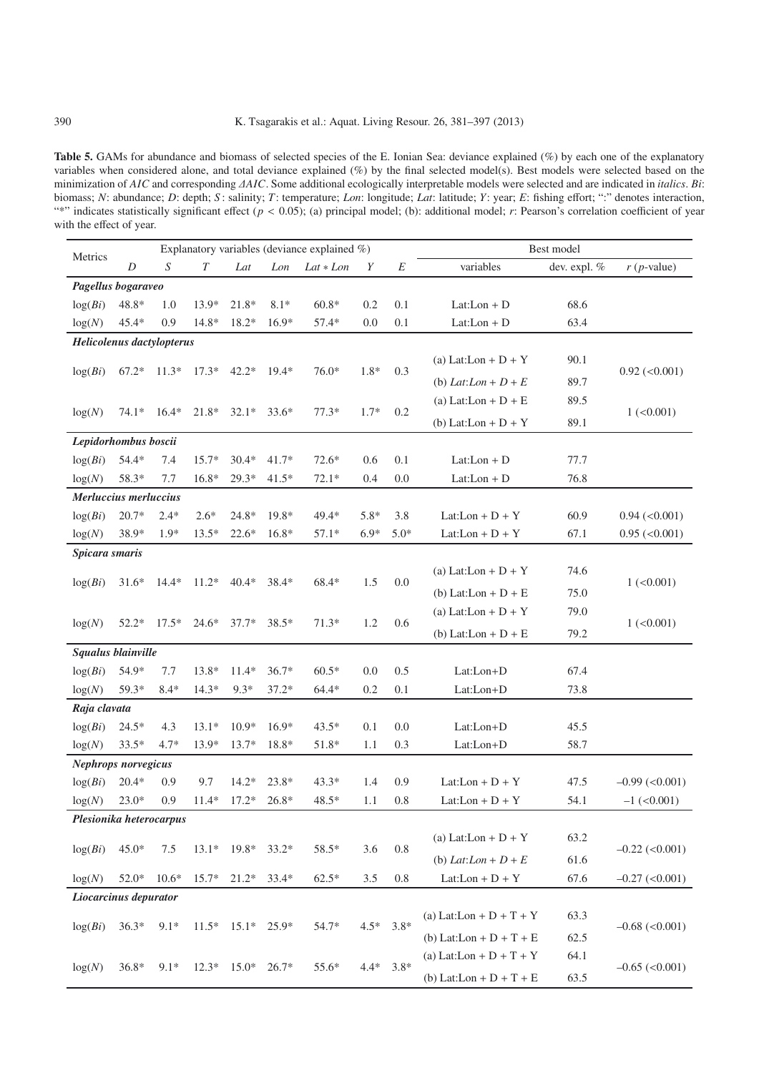<span id="page-9-0"></span>**Table 5.** GAMs for abundance and biomass of selected species of the E. Ionian Sea: deviance explained (%) by each one of the explanatory variables when considered alone, and total deviance explained (%) by the final selected model(s). Best models were selected based on the minimization of *AIC* and corresponding Δ*AIC*. Some additional ecologically interpretable models were selected and are indicated in *italics*. *Bi*: biomass; *N*: abundance; *D*: depth; *S* : salinity; *T*: temperature; *Lon*: longitude; *Lat*: latitude; *Y*: year; *E*: fishing effort; ":" denotes interaction, "\*" indicates statistically significant effect  $(p < 0.05)$ ; (a) principal model; (b): additional model; *r*: Pearson's correlation coefficient of year with the effect of year.

| Metrics                   |         |         |                  |         |         | Explanatory variables (deviance explained %) |         |          |                           | Best model   |                       |  |
|---------------------------|---------|---------|------------------|---------|---------|----------------------------------------------|---------|----------|---------------------------|--------------|-----------------------|--|
|                           | D       | S       | $\boldsymbol{T}$ | Lat     | Lon     | $Lat * Lon$                                  | Y       | $\cal E$ | variables                 | dev. expl. % | $r(p$ -value)         |  |
| Pagellus bogaraveo        |         |         |                  |         |         |                                              |         |          |                           |              |                       |  |
| log(Bi)                   | 48.8*   | 1.0     | $13.9*$          | $21.8*$ | $8.1*$  | $60.8*$                                      | 0.2     | 0.1      | $Lat:$ Lon + $D$          | 68.6         |                       |  |
| log(N)                    | $45.4*$ | 0.9     | 14.8*            | $18.2*$ | $16.9*$ | 57.4*                                        | 0.0     | 0.1      | $Lat:$ Lon + $D$          | 63.4         |                       |  |
| Helicolenus dactylopterus |         |         |                  |         |         |                                              |         |          |                           |              |                       |  |
|                           | $67.2*$ | $11.3*$ | $17.3*$          | $42.2*$ | $19.4*$ | $76.0*$                                      | $1.8*$  | 0.3      | (a) Lat:Lon + $D + Y$     | 90.1         | $0.92$ (< $0.001$ )   |  |
| log(Bi)                   |         |         |                  |         |         |                                              |         |          | (b) $Lat: Lon + D + E$    | 89.7         |                       |  |
|                           |         |         |                  |         |         |                                              |         |          | (a) Lat:Lon + $D$ + $E$   | 89.5         |                       |  |
| log(N)                    | $74.1*$ | $16.4*$ | 21.8*            | $32.1*$ | $33.6*$ | $77.3*$                                      | $1.7*$  | 0.2      | (b) Lat:Lon + $D + Y$     | 89.1         | $1$ (<0.001)          |  |
| Lepidorhombus boscii      |         |         |                  |         |         |                                              |         |          |                           |              |                       |  |
| log(Bi)                   | 54.4*   | 7.4     | $15.7*$          | $30.4*$ | $41.7*$ | $72.6*$                                      | 0.6     | 0.1      | $Lat:$ Lon + $D$          | 77.7         |                       |  |
| log(N)                    | 58.3*   | 7.7     | $16.8*$          | $29.3*$ | $41.5*$ | $72.1*$                                      | 0.4     | 0.0      | $Lat:$ Lon + $D$          | 76.8         |                       |  |
| Merluccius merluccius     |         |         |                  |         |         |                                              |         |          |                           |              |                       |  |
| log(Bi)                   | $20.7*$ | $2.4*$  | $2.6*$           | 24.8*   | 19.8*   | 49.4*                                        | $5.8*$  | 3.8      | Lat:Lon + $D + Y$         | 60.9         | $0.94$ (< $0.001$ )   |  |
| log(N)                    | 38.9*   | $1.9*$  | $13.5*$          | $22.6*$ | 16.8*   | $57.1*$                                      | $6.9*$  | $5.0*$   | Lat:Lon + $D + Y$         | 67.1         | $0.95$ (< $0.001$ )   |  |
| Spicara smaris            |         |         |                  |         |         |                                              |         |          |                           |              |                       |  |
|                           |         |         |                  |         |         |                                              |         |          | (a) Lat:Lon + $D + Y$     | 74.6         |                       |  |
| log(Bi)                   | $31.6*$ | $14.4*$ | $11.2*$          | $40.4*$ | 38.4*   | 68.4*                                        | 1.5     | 0.0      | (b) Lat:Lon + $D + E$     | 75.0         | $1$ (<0.001)          |  |
|                           |         |         |                  |         |         |                                              |         |          | (a) Lat:Lon + $D + Y$     | 79.0         |                       |  |
| log(N)                    | $52.2*$ | $17.5*$ | $24.6*$          | $37.7*$ | $38.5*$ | $71.3*$                                      | 1.2     | 0.6      | (b) Lat:Lon + $D + E$     | 79.2         | $1$ (<0.001)          |  |
| Squalus blainville        |         |         |                  |         |         |                                              |         |          |                           |              |                       |  |
| log(Bi)                   | 54.9*   | 7.7     | 13.8*            | $11.4*$ | $36.7*$ | $60.5*$                                      | $0.0\,$ | 0.5      | Lat:Lon+D                 | 67.4         |                       |  |
| log(N)                    | 59.3*   | $8.4*$  | $14.3*$          | $9.3*$  | $37.2*$ | $64.4*$                                      | 0.2     | 0.1      | Lat:Lon+D                 | 73.8         |                       |  |
| Raja clavata              |         |         |                  |         |         |                                              |         |          |                           |              |                       |  |
| log(Bi)                   | $24.5*$ | 4.3     | $13.1*$          | $10.9*$ | $16.9*$ | $43.5*$                                      | 0.1     | 0.0      | Lat:Lon+D                 | 45.5         |                       |  |
| log(N)                    | 33.5*   | $4.7*$  | $13.9*$          | $13.7*$ | 18.8*   | 51.8*                                        | 1.1     | 0.3      | Lat:Lon+D                 | 58.7         |                       |  |
| Nephrops norvegicus       |         |         |                  |         |         |                                              |         |          |                           |              |                       |  |
| log(Bi)                   | $20.4*$ | 0.9     | 9.7              | $14.2*$ | 23.8*   | $43.3*$                                      | 1.4     | 0.9      | Lat:Lon + $D + Y$         | 47.5         | $-0.99$ (<0.001)      |  |
| log(N)                    | $23.0*$ | 0.9     | $11.4*$          | $17.2*$ | $26.8*$ | 48.5*                                        | 1.1     | 0.8      | $Lat:$ Lon + $D + Y$      | 54.1         | $-1$ (<0.001)         |  |
| Plesionika heterocarpus   |         |         |                  |         |         |                                              |         |          |                           |              |                       |  |
|                           |         |         |                  |         |         |                                              |         |          | (a) Lat:Lon + $D + Y$     | 63.2         |                       |  |
| log(Bi)                   | $45.0*$ | 7.5     | $13.1*$          | $19.8*$ | $33.2*$ | 58.5*                                        | 3.6     | 0.8      | (b) $Lat: Lon + D + E$    | 61.6         | $-0.22$ (<0.001)      |  |
| log(N)                    | 52.0*   | $10.6*$ | $15.7*$          | $21.2*$ | $33.4*$ | $62.5*$                                      | 3.5     | 0.8      | $Lat: Lon + D + Y$        | 67.6         | $-0.27$ (<0.001)      |  |
| Liocarcinus depurator     |         |         |                  |         |         |                                              |         |          |                           |              |                       |  |
|                           |         |         |                  |         |         |                                              |         |          | (a) Lat:Lon + $D + T + Y$ | 63.3         |                       |  |
| log(Bi)                   | $36.3*$ | $9.1*$  | $11.5*$          | $15.1*$ | $25.9*$ | 54.7*                                        | $4.5*$  | $3.8*$   | (b) Lat:Lon + $D + T + E$ | 62.5         | $-0.68$ (<0.001)      |  |
|                           |         |         |                  |         |         |                                              |         |          | (a) Lat:Lon + $D + T + Y$ | 64.1         |                       |  |
| log(N)                    | $36.8*$ | $9.1*$  | $12.3*$          | $15.0*$ | $26.7*$ | 55.6*                                        | $4.4*$  | $3.8*$   | (b) Lat:Lon + $D + T + E$ | 63.5         | $-0.65$ ( $< 0.001$ ) |  |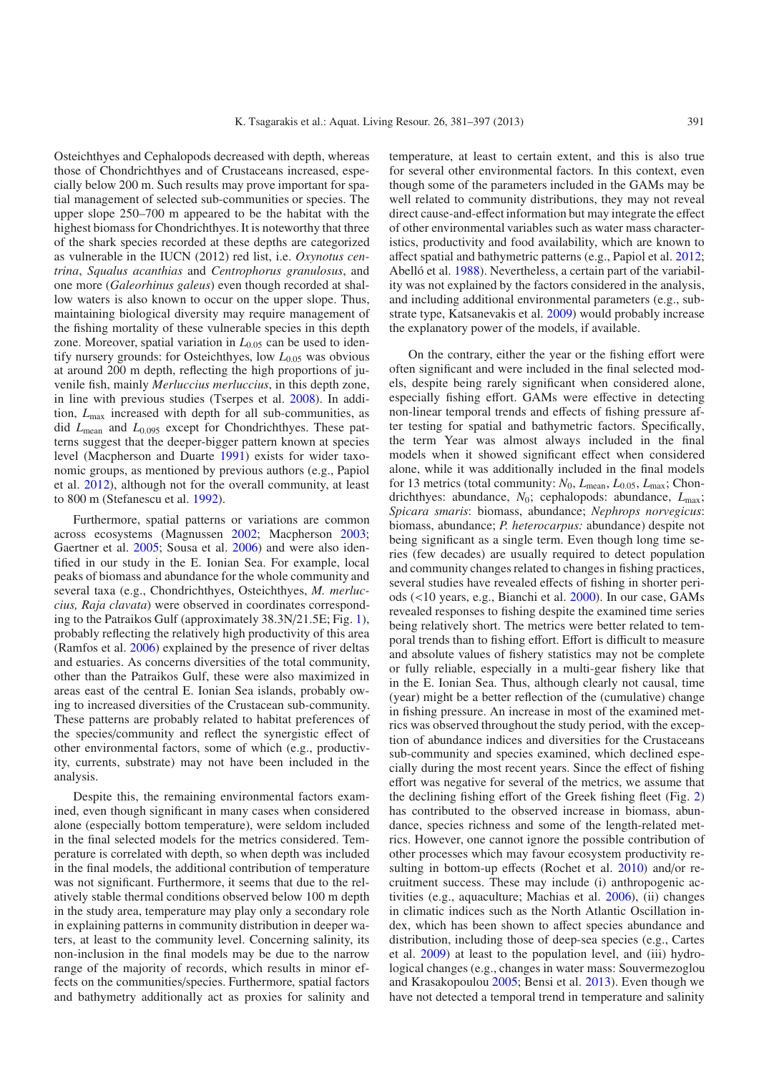Osteichthyes and Cephalopods decreased with depth, whereas those of Chondrichthyes and of Crustaceans increased, especially below 200 m. Such results may prove important for spatial management of selected sub-communities or species. The upper slope 250–700 m appeared to be the habitat with the highest biomass for Chondrichthyes. It is noteworthy that three of the shark species recorded at these depths are categorized as vulnerable in the IUCN (2012) red list, i.e. *Oxynotus centrina*, *Squalus acanthias* and *Centrophorus granulosus*, and one more (*Galeorhinus galeus*) even though recorded at shallow waters is also known to occur on the upper slope. Thus, maintaining biological diversity may require management of the fishing mortality of these vulnerable species in this depth zone. Moreover, spatial variation in  $L_{0.05}$  can be used to identify nursery grounds: for Osteichthyes, low  $L_{0.05}$  was obvious at around 200 m depth, reflecting the high proportions of juvenile fish, mainly *Merluccius merluccius*, in this depth zone, in line with previous studies (Tserpes et al. [2008\)](#page-14-3). In addition, *L*max increased with depth for all sub-communities, as did *<sup>L</sup>*mean and *<sup>L</sup>*0.<sup>095</sup> except for Chondrichthyes. These patterns suggest that the deeper-bigger pattern known at species level (Macpherson and Duarte [1991\)](#page-13-29) exists for wider taxonomic groups, as mentioned by previous authors (e.g., Papiol et al. [2012\)](#page-13-30), although not for the overall community, at least to 800 m (Stefanescu et al. [1992](#page-14-7)).

Furthermore, spatial patterns or variations are common across ecosystems (Magnussen [2002;](#page-13-15) Macpherson [2003](#page-13-28); Gaertner et al. [2005;](#page-12-12) Sousa et al. [2006](#page-13-16)) and were also identified in our study in the E. Ionian Sea. For example, local peaks of biomass and abundance for the whole community and several taxa (e.g., Chondrichthyes, Osteichthyes, *M. merluccius, Raja clavata*) were observed in coordinates corresponding to the Patraikos Gulf (approximately 38.3N/21.5E; Fig. [1\)](#page-1-0), probably reflecting the relatively high productivity of this area (Ramfos et al. [2006\)](#page-13-20) explained by the presence of river deltas and estuaries. As concerns diversities of the total community, other than the Patraikos Gulf, these were also maximized in areas east of the central E. Ionian Sea islands, probably owing to increased diversities of the Crustacean sub-community. These patterns are probably related to habitat preferences of the species/community and reflect the synergistic effect of other environmental factors, some of which (e.g., productivity, currents, substrate) may not have been included in the analysis.

Despite this, the remaining environmental factors examined, even though significant in many cases when considered alone (especially bottom temperature), were seldom included in the final selected models for the metrics considered. Temperature is correlated with depth, so when depth was included in the final models, the additional contribution of temperature was not significant. Furthermore, it seems that due to the relatively stable thermal conditions observed below 100 m depth in the study area, temperature may play only a secondary role in explaining patterns in community distribution in deeper waters, at least to the community level. Concerning salinity, its non-inclusion in the final models may be due to the narrow range of the majority of records, which results in minor effects on the communities/species. Furthermore, spatial factors and bathymetry additionally act as proxies for salinity and temperature, at least to certain extent, and this is also true for several other environmental factors. In this context, even though some of the parameters included in the GAMs may be well related to community distributions, they may not reveal direct cause-and-effect information but may integrate the effect of other environmental variables such as water mass characteristics, productivity and food availability, which are known to affect spatial and bathymetric patterns (e.g., Papiol et al. [2012;](#page-13-30) Abelló et al. [1988\)](#page-12-13). Nevertheless, a certain part of the variability was not explained by the factors considered in the analysis, and including additional environmental parameters (e.g., substrate type, Katsanevakis et al. [2009\)](#page-13-31) would probably increase the explanatory power of the models, if available.

On the contrary, either the year or the fishing effort were often significant and were included in the final selected models, despite being rarely significant when considered alone, especially fishing effort. GAMs were effective in detecting non-linear temporal trends and effects of fishing pressure after testing for spatial and bathymetric factors. Specifically, the term Year was almost always included in the final models when it showed significant effect when considered alone, while it was additionally included in the final models for 13 metrics (total community:  $N_0$ ,  $L_{\text{mean}}$ ,  $L_{0.05}$ ,  $L_{\text{max}}$ ; Chondrichthyes: abundance,  $N_0$ ; cephalopods: abundance,  $L_{\text{max}}$ ; *Spicara smaris*: biomass, abundance; *Nephrops norvegicus*: biomass, abundance; *P. heterocarpus:* abundance) despite not being significant as a single term. Even though long time series (few decades) are usually required to detect population and community changes related to changes in fishing practices, several studies have revealed effects of fishing in shorter periods (<10 years, e.g., Bianchi et al. [2000](#page-12-1)). In our case, GAMs revealed responses to fishing despite the examined time series being relatively short. The metrics were better related to temporal trends than to fishing effort. Effort is difficult to measure and absolute values of fishery statistics may not be complete or fully reliable, especially in a multi-gear fishery like that in the E. Ionian Sea. Thus, although clearly not causal, time (year) might be a better reflection of the (cumulative) change in fishing pressure. An increase in most of the examined metrics was observed throughout the study period, with the exception of abundance indices and diversities for the Crustaceans sub-community and species examined, which declined especially during the most recent years. Since the effect of fishing effort was negative for several of the metrics, we assume that the declining fishing effort of the Greek fishing fleet (Fig. [2\)](#page-4-0) has contributed to the observed increase in biomass, abundance, species richness and some of the length-related metrics. However, one cannot ignore the possible contribution of other processes which may favour ecosystem productivity re-sulting in bottom-up effects (Rochet et al. [2010\)](#page-13-32) and/or recruitment success. These may include (i) anthropogenic activities (e.g., aquaculture; Machias et al. [2006](#page-13-33)), (ii) changes in climatic indices such as the North Atlantic Oscillation index, which has been shown to affect species abundance and distribution, including those of deep-sea species (e.g., Cartes et al. [2009\)](#page-12-14) at least to the population level, and (iii) hydrological changes (e.g., changes in water mass: Souvermezoglou and Krasakopoulou [2005;](#page-14-8) Bensi et al. [2013](#page-12-15)). Even though we have not detected a temporal trend in temperature and salinity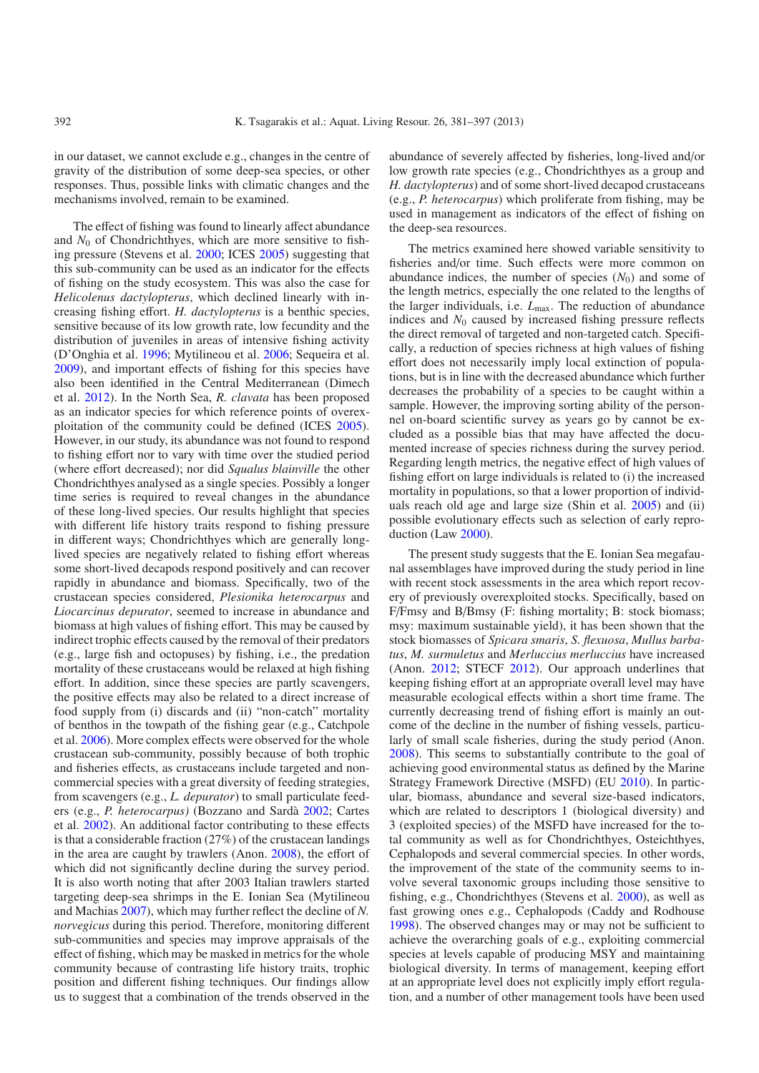in our dataset, we cannot exclude e.g., changes in the centre of gravity of the distribution of some deep-sea species, or other responses. Thus, possible links with climatic changes and the mechanisms involved, remain to be examined.

The effect of fishing was found to linearly affect abundance and *N*<sup>0</sup> of Chondrichthyes, which are more sensitive to fishing pressure (Stevens et al. [2000;](#page-14-1) ICES [2005\)](#page-13-34) suggesting that this sub-community can be used as an indicator for the effects of fishing on the study ecosystem. This was also the case for *Helicolenus dactylopterus*, which declined linearly with increasing fishing effort. *H. dactylopterus* is a benthic species, sensitive because of its low growth rate, low fecundity and the distribution of juveniles in areas of intensive fishing activity (D'Onghia et al. [1996](#page-12-16); Mytilineou et al. [2006;](#page-13-35) Sequeira et al. [2009\)](#page-13-36), and important effects of fishing for this species have also been identified in the Central Mediterranean (Dimech et al. [2012](#page-12-17)). In the North Sea, *R. clavata* has been proposed as an indicator species for which reference points of overexploitation of the community could be defined (ICES [2005](#page-13-34)). However, in our study, its abundance was not found to respond to fishing effort nor to vary with time over the studied period (where effort decreased); nor did *Squalus blainville* the other Chondrichthyes analysed as a single species. Possibly a longer time series is required to reveal changes in the abundance of these long-lived species. Our results highlight that species with different life history traits respond to fishing pressure in different ways; Chondrichthyes which are generally longlived species are negatively related to fishing effort whereas some short-lived decapods respond positively and can recover rapidly in abundance and biomass. Specifically, two of the crustacean species considered, *Plesionika heterocarpus* and *Liocarcinus depurator*, seemed to increase in abundance and biomass at high values of fishing effort. This may be caused by indirect trophic effects caused by the removal of their predators (e.g., large fish and octopuses) by fishing, i.e., the predation mortality of these crustaceans would be relaxed at high fishing effort. In addition, since these species are partly scavengers, the positive effects may also be related to a direct increase of food supply from (i) discards and (ii) "non-catch" mortality of benthos in the towpath of the fishing gear (e.g., Catchpole et al. [2006\)](#page-12-18). More complex effects were observed for the whole crustacean sub-community, possibly because of both trophic and fisheries effects, as crustaceans include targeted and noncommercial species with a great diversity of feeding strategies, from scavengers (e.g., *L. depurator*) to small particulate feeders (e.g., *P. heterocarpus)* (Bozzano and Sardà [2002;](#page-12-19) Cartes et al. [2002\)](#page-12-20). An additional factor contributing to these effects is that a considerable fraction (27%) of the crustacean landings in the area are caught by trawlers (Anon. [2008\)](#page-12-7), the effort of which did not significantly decline during the survey period. It is also worth noting that after 2003 Italian trawlers started targeting deep-sea shrimps in the E. Ionian Sea (Mytilineou and Machias [2007\)](#page-13-22), which may further reflect the decline of *N. norvegicus* during this period. Therefore, monitoring different sub-communities and species may improve appraisals of the effect of fishing, which may be masked in metrics for the whole community because of contrasting life history traits, trophic position and different fishing techniques. Our findings allow us to suggest that a combination of the trends observed in the

abundance of severely affected by fisheries, long-lived and/or low growth rate species (e.g., Chondrichthyes as a group and *H. dactylopterus*) and of some short-lived decapod crustaceans (e.g., *P. heterocarpus*) which proliferate from fishing, may be used in management as indicators of the effect of fishing on the deep-sea resources.

The metrics examined here showed variable sensitivity to fisheries and/or time. Such effects were more common on abundance indices, the number of species  $(N_0)$  and some of the length metrics, especially the one related to the lengths of the larger individuals, i.e. *L*max. The reduction of abundance indices and  $N_0$  caused by increased fishing pressure reflects the direct removal of targeted and non-targeted catch. Specifically, a reduction of species richness at high values of fishing effort does not necessarily imply local extinction of populations, but is in line with the decreased abundance which further decreases the probability of a species to be caught within a sample. However, the improving sorting ability of the personnel on-board scientific survey as years go by cannot be excluded as a possible bias that may have affected the documented increase of species richness during the survey period. Regarding length metrics, the negative effect of high values of fishing effort on large individuals is related to (i) the increased mortality in populations, so that a lower proportion of individuals reach old age and large size (Shin et al. [2005\)](#page-13-3) and (ii) possible evolutionary effects such as selection of early reproduction (Law [2000](#page-13-4)).

The present study suggests that the E. Ionian Sea megafaunal assemblages have improved during the study period in line with recent stock assessments in the area which report recovery of previously overexploited stocks. Specifically, based on F/Fmsy and B/Bmsy (F: fishing mortality; B: stock biomass; msy: maximum sustainable yield), it has been shown that the stock biomasses of *Spicara smaris*, *S. flexuosa*, *Mullus barbatus*, *M. surmuletus* and *Merluccius merluccius* have increased (Anon. [2012;](#page-12-8) STECF [2012\)](#page-14-4). Our approach underlines that keeping fishing effort at an appropriate overall level may have measurable ecological effects within a short time frame. The currently decreasing trend of fishing effort is mainly an outcome of the decline in the number of fishing vessels, particularly of small scale fisheries, during the study period (Anon. [2008\)](#page-12-7). This seems to substantially contribute to the goal of achieving good environmental status as defined by the Marine Strategy Framework Directive (MSFD) (EU [2010\)](#page-12-21). In particular, biomass, abundance and several size-based indicators, which are related to descriptors 1 (biological diversity) and 3 (exploited species) of the MSFD have increased for the total community as well as for Chondrichthyes, Osteichthyes, Cephalopods and several commercial species. In other words, the improvement of the state of the community seems to involve several taxonomic groups including those sensitive to fishing, e.g., Chondrichthyes (Stevens et al. [2000](#page-14-1)), as well as fast growing ones e.g., Cephalopods (Caddy and Rodhouse [1998\)](#page-12-6). The observed changes may or may not be sufficient to achieve the overarching goals of e.g., exploiting commercial species at levels capable of producing MSY and maintaining biological diversity. In terms of management, keeping effort at an appropriate level does not explicitly imply effort regulation, and a number of other management tools have been used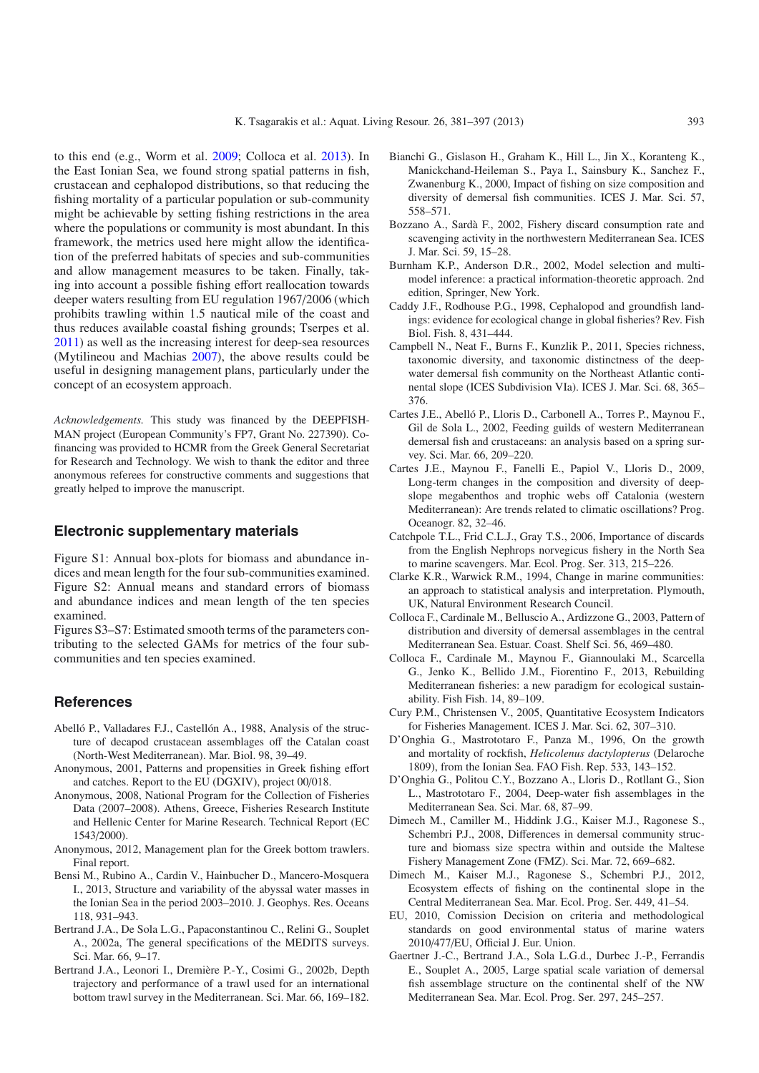to this end (e.g., Worm et al. [2009;](#page-14-9) Colloca et al. [2013](#page-12-22)). In the East Ionian Sea, we found strong spatial patterns in fish, crustacean and cephalopod distributions, so that reducing the fishing mortality of a particular population or sub-community might be achievable by setting fishing restrictions in the area where the populations or community is most abundant. In this framework, the metrics used here might allow the identification of the preferred habitats of species and sub-communities and allow management measures to be taken. Finally, taking into account a possible fishing effort reallocation towards deeper waters resulting from EU regulation 1967/2006 (which prohibits trawling within 1.5 nautical mile of the coast and thus reduces available coastal fishing grounds; Tserpes et al. [2011\)](#page-14-6) as well as the increasing interest for deep-sea resources (Mytilineou and Machias [2007\)](#page-13-22), the above results could be useful in designing management plans, particularly under the concept of an ecosystem approach.

*Acknowledgements.* This study was financed by the DEEPFISH-MAN project (European Community's FP7, Grant No. 227390). Cofinancing was provided to HCMR from the Greek General Secretariat for Research and Technology. We wish to thank the editor and three anonymous referees for constructive comments and suggestions that greatly helped to improve the manuscript.

#### **Electronic supplementary materials**

Figure S1: Annual box-plots for biomass and abundance indices and mean length for the four sub-communities examined. Figure S2: Annual means and standard errors of biomass and abundance indices and mean length of the ten species examined.

Figures S3–S7: Estimated smooth terms of the parameters contributing to the selected GAMs for metrics of the four subcommunities and ten species examined.

## **References**

- <span id="page-12-13"></span>Abelló P., Valladares F.J., Castellón A., 1988, Analysis of the structure of decapod crustacean assemblages off the Catalan coast (North-West Mediterranean). Mar. Biol. 98, 39–49.
- Anonymous, 2001, Patterns and propensities in Greek fishing effort and catches. Report to the EU (DGXIV), project 00/018.
- <span id="page-12-7"></span>Anonymous, 2008, National Program for the Collection of Fisheries Data (2007–2008). Athens, Greece, Fisheries Research Institute and Hellenic Center for Marine Research. Technical Report (EC 1543/2000).
- <span id="page-12-8"></span>Anonymous, 2012, Management plan for the Greek bottom trawlers. Final report.
- <span id="page-12-15"></span>Bensi M., Rubino A., Cardin V., Hainbucher D., Mancero-Mosquera I., 2013, Structure and variability of the abyssal water masses in the Ionian Sea in the period 2003–2010. J. Geophys. Res. Oceans 118, 931–943.
- <span id="page-12-9"></span>Bertrand J.A., De Sola L.G., Papaconstantinou C., Relini G., Souplet A., 2002a, The general specifications of the MEDITS surveys. Sci. Mar. 66, 9–17.
- Bertrand J.A., Leonori I., Dremière P.-Y., Cosimi G., 2002b, Depth trajectory and performance of a trawl used for an international bottom trawl survey in the Mediterranean. Sci. Mar. 66, 169–182.
- <span id="page-12-1"></span>Bianchi G., Gislason H., Graham K., Hill L., Jin X., Koranteng K., Manickchand-Heileman S., Paya I., Sainsbury K., Sanchez F., Zwanenburg K., 2000, Impact of fishing on size composition and diversity of demersal fish communities. ICES J. Mar. Sci. 57, 558–571.
- <span id="page-12-19"></span>Bozzano A., Sardà F., 2002, Fishery discard consumption rate and scavenging activity in the northwestern Mediterranean Sea. ICES J. Mar. Sci. 59, 15–28.
- <span id="page-12-11"></span>Burnham K.P., Anderson D.R., 2002, Model selection and multimodel inference: a practical information-theoretic approach. 2nd edition, Springer, New York.
- <span id="page-12-6"></span>Caddy J.F., Rodhouse P.G., 1998, Cephalopod and groundfish landings: evidence for ecological change in global fisheries? Rev. Fish Biol. Fish. 8, 431–444.
- <span id="page-12-4"></span>Campbell N., Neat F., Burns F., Kunzlik P., 2011, Species richness, taxonomic diversity, and taxonomic distinctness of the deepwater demersal fish community on the Northeast Atlantic continental slope (ICES Subdivision VIa). ICES J. Mar. Sci. 68, 365– 376.
- <span id="page-12-20"></span>Cartes J.E., Abelló P., Lloris D., Carbonell A., Torres P., Maynou F., Gil de Sola L., 2002, Feeding guilds of western Mediterranean demersal fish and crustaceans: an analysis based on a spring survey. Sci. Mar. 66, 209–220.
- <span id="page-12-14"></span>Cartes J.E., Maynou F., Fanelli E., Papiol V., Lloris D., 2009, Long-term changes in the composition and diversity of deepslope megabenthos and trophic webs off Catalonia (western Mediterranean): Are trends related to climatic oscillations? Prog. Oceanogr. 82, 32–46.
- <span id="page-12-18"></span>Catchpole T.L., Frid C.L.J., Gray T.S., 2006, Importance of discards from the English Nephrops norvegicus fishery in the North Sea to marine scavengers. Mar. Ecol. Prog. Ser. 313, 215–226.
- <span id="page-12-10"></span>Clarke K.R., Warwick R.M., 1994, Change in marine communities: an approach to statistical analysis and interpretation. Plymouth, UK, Natural Environment Research Council.
- <span id="page-12-5"></span>Colloca F., Cardinale M., Belluscio A., Ardizzone G., 2003, Pattern of distribution and diversity of demersal assemblages in the central Mediterranean Sea. Estuar. Coast. Shelf Sci. 56, 469–480.
- <span id="page-12-22"></span>Colloca F., Cardinale M., Maynou F., Giannoulaki M., Scarcella G., Jenko K., Bellido J.M., Fiorentino F., 2013, Rebuilding Mediterranean fisheries: a new paradigm for ecological sustainability. Fish Fish. 14, 89–109.
- <span id="page-12-0"></span>Cury P.M., Christensen V., 2005, Quantitative Ecosystem Indicators for Fisheries Management. ICES J. Mar. Sci. 62, 307–310.
- <span id="page-12-16"></span>D'Onghia G., Mastrototaro F., Panza M., 1996, On the growth and mortality of rockfish, *Helicolenus dactylopterus* (Delaroche 1809), from the Ionian Sea. FAO Fish. Rep. 533, 143–152.
- <span id="page-12-2"></span>D'Onghia G., Politou C.Y., Bozzano A., Lloris D., Rotllant G., Sion L., Mastrototaro F., 2004, Deep-water fish assemblages in the Mediterranean Sea. Sci. Mar. 68, 87–99.
- <span id="page-12-3"></span>Dimech M., Camiller M., Hiddink J.G., Kaiser M.J., Ragonese S., Schembri P.J., 2008, Differences in demersal community structure and biomass size spectra within and outside the Maltese Fishery Management Zone (FMZ). Sci. Mar. 72, 669–682.
- <span id="page-12-17"></span>Dimech M., Kaiser M.J., Ragonese S., Schembri P.J., 2012, Ecosystem effects of fishing on the continental slope in the Central Mediterranean Sea. Mar. Ecol. Prog. Ser. 449, 41–54.
- <span id="page-12-21"></span>EU, 2010, Comission Decision on criteria and methodological standards on good environmental status of marine waters 2010/477/EU, Official J. Eur. Union.
- <span id="page-12-12"></span>Gaertner J.-C., Bertrand J.A., Sola L.G.d., Durbec J.-P., Ferrandis E., Souplet A., 2005, Large spatial scale variation of demersal fish assemblage structure on the continental shelf of the NW Mediterranean Sea. Mar. Ecol. Prog. Ser. 297, 245–257.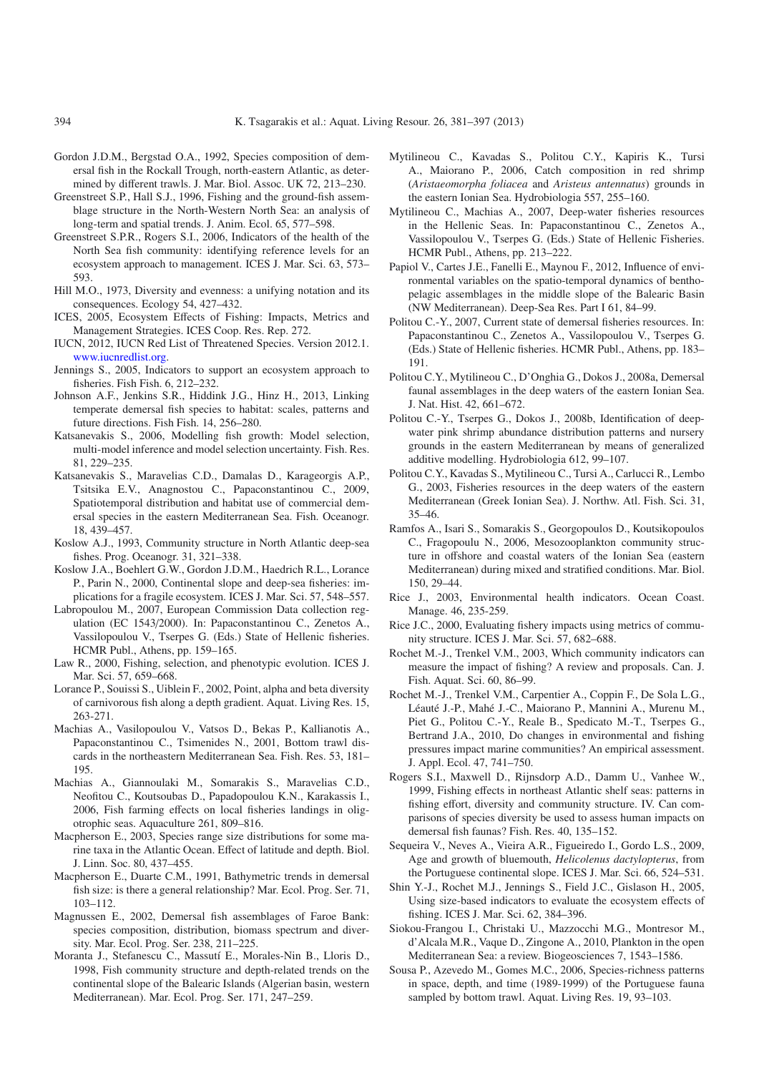- <span id="page-13-10"></span>Gordon J.D.M., Bergstad O.A., 1992, Species composition of demersal fish in the Rockall Trough, north-eastern Atlantic, as determined by different trawls. J. Mar. Biol. Assoc. UK 72, 213–230.
- <span id="page-13-5"></span>Greenstreet S.P., Hall S.J., 1996, Fishing and the ground-fish assemblage structure in the North-Western North Sea: an analysis of long-term and spatial trends. J. Anim. Ecol. 65, 577–598.
- <span id="page-13-26"></span>Greenstreet S.P.R., Rogers S.I., 2006, Indicators of the health of the North Sea fish community: identifying reference levels for an ecosystem approach to management. ICES J. Mar. Sci. 63, 573– 593.
- <span id="page-13-25"></span>Hill M.O., 1973, Diversity and evenness: a unifying notation and its consequences. Ecology 54, 427–432.
- <span id="page-13-34"></span>ICES, 2005, Ecosystem Effects of Fishing: Impacts, Metrics and Management Strategies. ICES Coop. Res. Rep. 272.
- IUCN, 2012, IUCN Red List of Threatened Species. Version 2012.1. [www.iucnredlist.org.](www.iucnredlist.org)
- <span id="page-13-8"></span>Jennings S., 2005, Indicators to support an ecosystem approach to fisheries. Fish Fish. 6, 212–232.
- <span id="page-13-7"></span>Johnson A.F., Jenkins S.R., Hiddink J.G., Hinz H., 2013, Linking temperate demersal fish species to habitat: scales, patterns and future directions. Fish Fish. 14, 256–280.
- <span id="page-13-27"></span>Katsanevakis S., 2006, Modelling fish growth: Model selection, multi-model inference and model selection uncertainty. Fish. Res. 81, 229–235.
- <span id="page-13-31"></span>Katsanevakis S., Maravelias C.D., Damalas D., Karageorgis A.P., Tsitsika E.V., Anagnostou C., Papaconstantinou C., 2009, Spatiotemporal distribution and habitat use of commercial demersal species in the eastern Mediterranean Sea. Fish. Oceanogr. 18, 439–457.
- <span id="page-13-11"></span>Koslow A.J., 1993, Community structure in North Atlantic deep-sea fishes. Prog. Oceanogr. 31, 321–338.
- <span id="page-13-18"></span>Koslow J.A., Boehlert G.W., Gordon J.D.M., Haedrich R.L., Lorance P., Parin N., 2000, Continental slope and deep-sea fisheries: implications for a fragile ecosystem. ICES J. Mar. Sci. 57, 548–557.
- <span id="page-13-24"></span>Labropoulou M., 2007, European Commission Data collection regulation (EC 1543/2000). In: Papaconstantinou C., Zenetos A., Vassilopoulou V., Tserpes G. (Eds.) State of Hellenic fisheries. HCMR Publ., Athens, pp. 159–165.
- <span id="page-13-4"></span>Law R., 2000, Fishing, selection, and phenotypic evolution. ICES J. Mar. Sci. 57, 659–668.
- <span id="page-13-12"></span>Lorance P., Souissi S., Uiblein F., 2002, Point, alpha and beta diversity of carnivorous fish along a depth gradient. Aquat. Living Res. 15, 263-271.
- <span id="page-13-17"></span>Machias A., Vasilopoulou V., Vatsos D., Bekas P., Kallianotis A., Papaconstantinou C., Tsimenides N., 2001, Bottom trawl discards in the northeastern Mediterranean Sea. Fish. Res. 53, 181– 195.
- <span id="page-13-33"></span>Machias A., Giannoulaki M., Somarakis S., Maravelias C.D., Neofitou C., Koutsoubas D., Papadopoulou K.N., Karakassis I., 2006, Fish farming effects on local fisheries landings in oligotrophic seas. Aquaculture 261, 809–816.
- <span id="page-13-28"></span>Macpherson E., 2003, Species range size distributions for some marine taxa in the Atlantic Ocean. Effect of latitude and depth. Biol. J. Linn. Soc. 80, 437–455.
- <span id="page-13-29"></span>Macpherson E., Duarte C.M., 1991, Bathymetric trends in demersal fish size: is there a general relationship? Mar. Ecol. Prog. Ser. 71, 103–112.
- <span id="page-13-15"></span>Magnussen E., 2002, Demersal fish assemblages of Faroe Bank: species composition, distribution, biomass spectrum and diversity. Mar. Ecol. Prog. Ser. 238, 211–225.
- <span id="page-13-14"></span>Moranta J., Stefanescu C., Massutí E., Morales-Nin B., Lloris D., 1998, Fish community structure and depth-related trends on the continental slope of the Balearic Islands (Algerian basin, western Mediterranean). Mar. Ecol. Prog. Ser. 171, 247–259.
- <span id="page-13-35"></span>Mytilineou C., Kavadas S., Politou C.Y., Kapiris K., Tursi A., Maiorano P., 2006, Catch composition in red shrimp (*Aristaeomorpha foliacea* and *Aristeus antennatus*) grounds in the eastern Ionian Sea. Hydrobiologia 557, 255–160.
- <span id="page-13-22"></span>Mytilineou C., Machias A., 2007, Deep-water fisheries resources in the Hellenic Seas. In: Papaconstantinou C., Zenetos A., Vassilopoulou V., Tserpes G. (Eds.) State of Hellenic Fisheries. HCMR Publ., Athens, pp. 213–222.
- <span id="page-13-30"></span>Papiol V., Cartes J.E., Fanelli E., Maynou F., 2012, Influence of environmental variables on the spatio-temporal dynamics of benthopelagic assemblages in the middle slope of the Balearic Basin (NW Mediterranean). Deep-Sea Res. Part I 61, 84–99.
- <span id="page-13-23"></span>Politou C.-Y., 2007, Current state of demersal fisheries resources. In: Papaconstantinou C., Zenetos A., Vassilopoulou V., Tserpes G. (Eds.) State of Hellenic fisheries. HCMR Publ., Athens, pp. 183– 191.
- <span id="page-13-9"></span>Politou C.Y., Mytilineou C., D'Onghia G., Dokos J., 2008a, Demersal faunal assemblages in the deep waters of the eastern Ionian Sea. J. Nat. Hist. 42, 661–672.
- <span id="page-13-21"></span>Politou C.-Y., Tserpes G., Dokos J., 2008b, Identification of deepwater pink shrimp abundance distribution patterns and nursery grounds in the eastern Mediterranean by means of generalized additive modelling. Hydrobiologia 612, 99–107.
- <span id="page-13-13"></span>Politou C.Y., Kavadas S., Mytilineou C., Tursi A., Carlucci R., Lembo G., 2003, Fisheries resources in the deep waters of the eastern Mediterranean (Greek Ionian Sea). J. Northw. Atl. Fish. Sci. 31, 35–46.
- <span id="page-13-20"></span>Ramfos A., Isari S., Somarakis S., Georgopoulos D., Koutsikopoulos C., Fragopoulu N., 2006, Mesozooplankton community structure in offshore and coastal waters of the Ionian Sea (eastern Mediterranean) during mixed and stratified conditions. Mar. Biol. 150, 29–44.
- <span id="page-13-2"></span>Rice J., 2003, Environmental health indicators. Ocean Coast. Manage. 46, 235-259.
- <span id="page-13-0"></span>Rice J.C., 2000, Evaluating fishery impacts using metrics of community structure. ICES J. Mar. Sci. 57, 682–688.
- <span id="page-13-1"></span>Rochet M.-J., Trenkel V.M., 2003, Which community indicators can measure the impact of fishing? A review and proposals. Can. J. Fish. Aquat. Sci. 60, 86–99.
- <span id="page-13-32"></span>Rochet M.-J., Trenkel V.M., Carpentier A., Coppin F., De Sola L.G., Léauté J.-P., Mahé J.-C., Maiorano P., Mannini A., Murenu M., Piet G., Politou C.-Y., Reale B., Spedicato M.-T., Tserpes G., Bertrand J.A., 2010, Do changes in environmental and fishing pressures impact marine communities? An empirical assessment. J. Appl. Ecol. 47, 741–750.
- <span id="page-13-6"></span>Rogers S.I., Maxwell D., Rijnsdorp A.D., Damm U., Vanhee W., 1999, Fishing effects in northeast Atlantic shelf seas: patterns in fishing effort, diversity and community structure. IV. Can comparisons of species diversity be used to assess human impacts on demersal fish faunas? Fish. Res. 40, 135–152.
- <span id="page-13-36"></span>Sequeira V., Neves A., Vieira A.R., Figueiredo I., Gordo L.S., 2009, Age and growth of bluemouth, *Helicolenus dactylopterus*, from the Portuguese continental slope. ICES J. Mar. Sci. 66, 524–531.
- <span id="page-13-3"></span>Shin Y.-J., Rochet M.J., Jennings S., Field J.C., Gislason H., 2005, Using size-based indicators to evaluate the ecosystem effects of fishing. ICES J. Mar. Sci. 62, 384–396.
- <span id="page-13-19"></span>Siokou-Frangou I., Christaki U., Mazzocchi M.G., Montresor M., d'Alcala M.R., Vaque D., Zingone A., 2010, Plankton in the open Mediterranean Sea: a review. Biogeosciences 7, 1543–1586.
- <span id="page-13-16"></span>Sousa P., Azevedo M., Gomes M.C., 2006, Species-richness patterns in space, depth, and time (1989-1999) of the Portuguese fauna sampled by bottom trawl. Aquat. Living Res. 19, 93–103.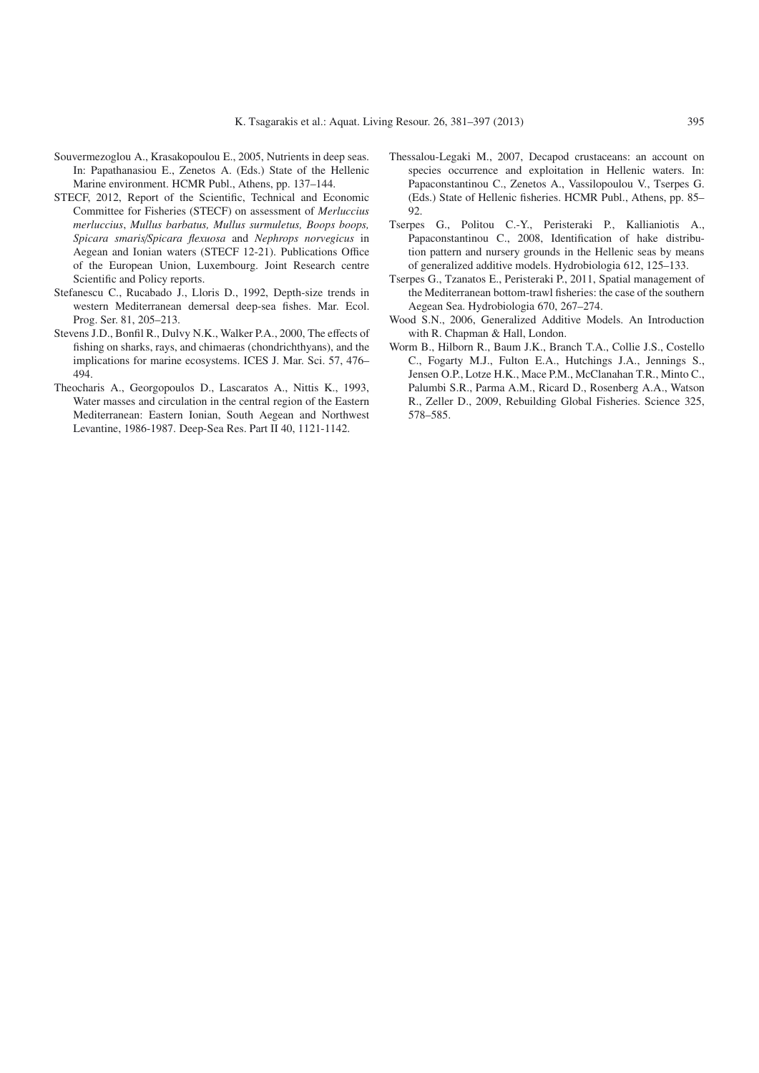- <span id="page-14-8"></span>Souvermezoglou A., Krasakopoulou E., 2005, Nutrients in deep seas. In: Papathanasiou E., Zenetos A. (Eds.) State of the Hellenic Marine environment. HCMR Publ., Athens, pp. 137–144.
- <span id="page-14-4"></span>STECF, 2012, Report of the Scientific, Technical and Economic Committee for Fisheries (STECF) on assessment of *Merluccius merluccius*, *Mullus barbatus, Mullus surmuletus, Boops boops, Spicara smaris*/*Spicara flexuosa* and *Nephrops norvegicus* in Aegean and Ionian waters (STECF 12-21). Publications Office of the European Union, Luxembourg. Joint Research centre Scientific and Policy reports.
- <span id="page-14-7"></span>Stefanescu C., Rucabado J., Lloris D., 1992, Depth-size trends in western Mediterranean demersal deep-sea fishes. Mar. Ecol. Prog. Ser. 81, 205–213.
- <span id="page-14-1"></span>Stevens J.D., Bonfil R., Dulvy N.K., Walker P.A., 2000, The effects of fishing on sharks, rays, and chimaeras (chondrichthyans), and the implications for marine ecosystems. ICES J. Mar. Sci. 57, 476– 494.
- <span id="page-14-2"></span>Theocharis A., Georgopoulos D., Lascaratos A., Nittis K., 1993, Water masses and circulation in the central region of the Eastern Mediterranean: Eastern Ionian, South Aegean and Northwest Levantine, 1986-1987. Deep-Sea Res. Part II 40, 1121-1142.
- <span id="page-14-0"></span>Thessalou-Legaki M., 2007, Decapod crustaceans: an account on species occurrence and exploitation in Hellenic waters. In: Papaconstantinou C., Zenetos A., Vassilopoulou V., Tserpes G. (Eds.) State of Hellenic fisheries. HCMR Publ., Athens, pp. 85– 92.
- <span id="page-14-3"></span>Tserpes G., Politou C.-Y., Peristeraki P., Kallianiotis A., Papaconstantinou C., 2008, Identification of hake distribution pattern and nursery grounds in the Hellenic seas by means of generalized additive models. Hydrobiologia 612, 125–133.
- <span id="page-14-6"></span>Tserpes G., Tzanatos E., Peristeraki P., 2011, Spatial management of the Mediterranean bottom-trawl fisheries: the case of the southern Aegean Sea. Hydrobiologia 670, 267–274.
- <span id="page-14-5"></span>Wood S.N., 2006, Generalized Additive Models. An Introduction with R. Chapman & Hall, London.
- <span id="page-14-9"></span>Worm B., Hilborn R., Baum J.K., Branch T.A., Collie J.S., Costello C., Fogarty M.J., Fulton E.A., Hutchings J.A., Jennings S., Jensen O.P., Lotze H.K., Mace P.M., McClanahan T.R., Minto C., Palumbi S.R., Parma A.M., Ricard D., Rosenberg A.A., Watson R., Zeller D., 2009, Rebuilding Global Fisheries. Science 325, 578–585.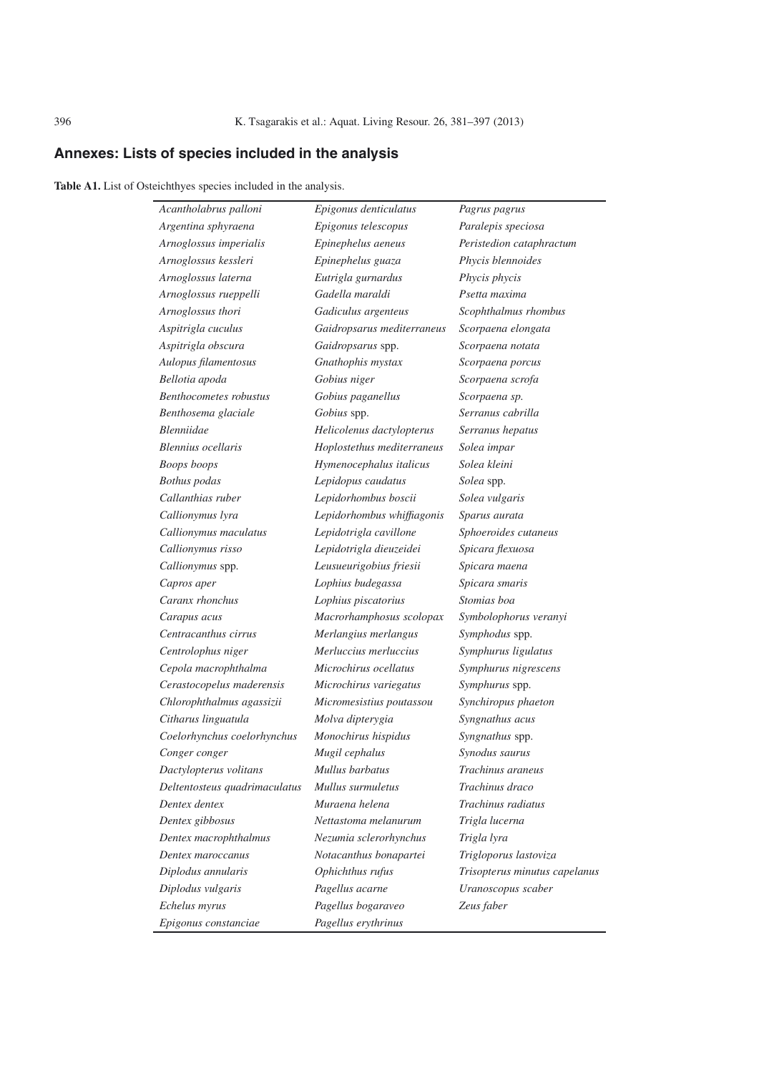## **Annexes: Lists of species included in the analysis**

**Table A1.** List of Osteichthyes species included in the analysis.

| Acantholabrus palloni         | Epigonus denticulatus      | Pagrus pagrus                 |
|-------------------------------|----------------------------|-------------------------------|
| Argentina sphyraena           | Epigonus telescopus        | Paralepis speciosa            |
| Arnoglossus imperialis        | Epinephelus aeneus         | Peristedion cataphractum      |
| Arnoglossus kessleri          | Epinephelus guaza          | Phycis blennoides             |
| Arnoglossus laterna           | Eutrigla gurnardus         | Phycis phycis                 |
| Arnoglossus rueppelli         | Gadella maraldi            | Psetta maxima                 |
| Arnoglossus thori             | Gadiculus argenteus        | Scophthalmus rhombus          |
| Aspitrigla cuculus            | Gaidropsarus mediterraneus | Scorpaena elongata            |
| Aspitrigla obscura            | Gaidropsarus spp.          | Scorpaena notata              |
| Aulopus filamentosus          | Gnathophis mystax          | Scorpaena porcus              |
| Bellotia apoda                | Gobius niger               | Scorpaena scrofa              |
| <b>Benthocometes</b> robustus | Gobius paganellus          | Scorpaena sp.                 |
| Benthosema glaciale           | Gobius spp.                | Serranus cabrilla             |
| Blenniidae                    | Helicolenus dactylopterus  | Serranus hepatus              |
| <b>Blennius</b> ocellaris     | Hoplostethus mediterraneus | Solea impar                   |
| <b>Boops</b> boops            | Hymenocephalus italicus    | Solea kleini                  |
| <b>Bothus</b> podas           | Lepidopus caudatus         | Solea spp.                    |
| Callanthias ruber             | Lepidorhombus boscii       | Solea vulgaris                |
| Callionymus lyra              | Lepidorhombus whiffiagonis | Sparus aurata                 |
| Callionymus maculatus         | Lepidotrigla cavillone     | Sphoeroides cutaneus          |
| Callionymus risso             | Lepidotrigla dieuzeidei    | Spicara flexuosa              |
| Callionymus spp.              | Leusueurigobius friesii    | Spicara maena                 |
| Capros aper                   | Lophius budegassa          | Spicara smaris                |
| Caranx rhonchus               | Lophius piscatorius        | Stomias boa                   |
| Carapus acus                  | Macrorhamphosus scolopax   | Symbolophorus veranyi         |
| Centracanthus cirrus          | Merlangius merlangus       | Symphodus spp.                |
| Centrolophus niger            | Merluccius merluccius      | Symphurus ligulatus           |
| Cepola macrophthalma          | Microchirus ocellatus      | Symphurus nigrescens          |
| Cerastocopelus maderensis     | Microchirus variegatus     | Symphurus spp.                |
| Chlorophthalmus agassizii     | Micromesistius poutassou   | Synchiropus phaeton           |
| Citharus linguatula           | Molva dipterygia           | Syngnathus acus               |
| Coelorhynchus coelorhynchus   | Monochirus hispidus        | Syngnathus spp.               |
| Conger conger                 | Mugil cephalus             | Synodus saurus                |
| Dactylopterus volitans        | Mullus barbatus            | Trachinus araneus             |
| Deltentosteus quadrimaculatus | Mullus surmuletus          | Trachinus draco               |
| Dentex dentex                 | Muraena helena             | Trachinus radiatus            |
| Dentex gibbosus               | Nettastoma melanurum       | Trigla lucerna                |
| Dentex macrophthalmus         | Nezumia sclerorhynchus     | Trigla lyra                   |
| Dentex maroccanus             | Notacanthus bonapartei     | Trigloporus lastoviza         |
| Diplodus annularis            | Ophichthus rufus           | Trisopterus minutus capelanus |
| Diplodus vulgaris             | Pagellus acarne            | Uranoscopus scaber            |
| Echelus myrus                 | Pagellus bogaraveo         | Zeus faber                    |
| Epigonus constanciae          | Pagellus erythrinus        |                               |